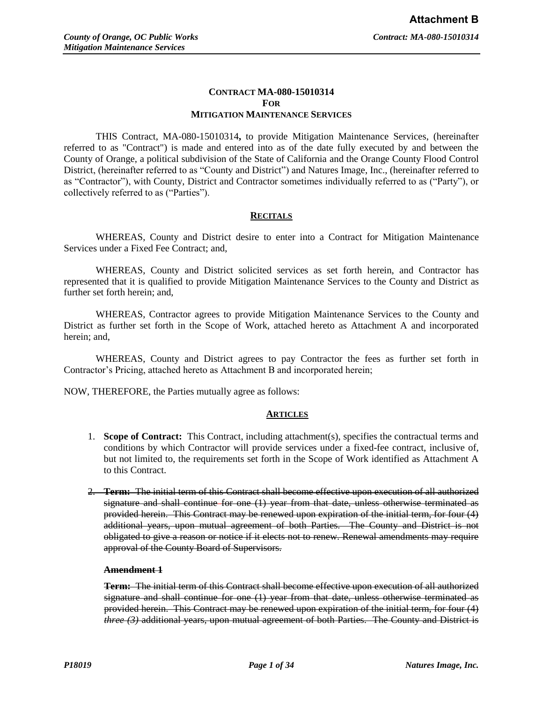# **CONTRACT MA-080-15010314 FOR MITIGATION MAINTENANCE SERVICES**

THIS Contract, MA-080-15010314**,** to provide Mitigation Maintenance Services, (hereinafter referred to as "Contract") is made and entered into as of the date fully executed by and between the County of Orange, a political subdivision of the State of California and the Orange County Flood Control District, (hereinafter referred to as "County and District") and Natures Image, Inc., (hereinafter referred to as "Contractor"), with County, District and Contractor sometimes individually referred to as ("Party"), or collectively referred to as ("Parties").

# **RECITALS**

WHEREAS, County and District desire to enter into a Contract for Mitigation Maintenance Services under a Fixed Fee Contract; and,

WHEREAS, County and District solicited services as set forth herein, and Contractor has represented that it is qualified to provide Mitigation Maintenance Services to the County and District as further set forth herein; and,

WHEREAS, Contractor agrees to provide Mitigation Maintenance Services to the County and District as further set forth in the Scope of Work, attached hereto as Attachment A and incorporated herein; and,

WHEREAS, County and District agrees to pay Contractor the fees as further set forth in Contractor's Pricing, attached hereto as Attachment B and incorporated herein;

NOW, THEREFORE, the Parties mutually agree as follows:

# **ARTICLES**

- 1. **Scope of Contract:** This Contract, including attachment(s), specifies the contractual terms and conditions by which Contractor will provide services under a fixed-fee contract, inclusive of, but not limited to, the requirements set forth in the Scope of Work identified as Attachment A to this Contract.
- 2. **Term:** The initial term of this Contract shall become effective upon execution of all authorized signature and shall continue for one (1) year from that date, unless otherwise terminated as provided herein. This Contract may be renewed upon expiration of the initial term, for four (4) additional years, upon mutual agreement of both Parties. The County and District is not obligated to give a reason or notice if it elects not to renew. Renewal amendments may require approval of the County Board of Supervisors.

### **Amendment 1**

**Term:** The initial term of this Contract shall become effective upon execution of all authorized signature and shall continue for one (1) year from that date, unless otherwise terminated as provided herein. This Contract may be renewed upon expiration of the initial term, for four (4) *three (3)* additional years, upon mutual agreement of both Parties. The County and District is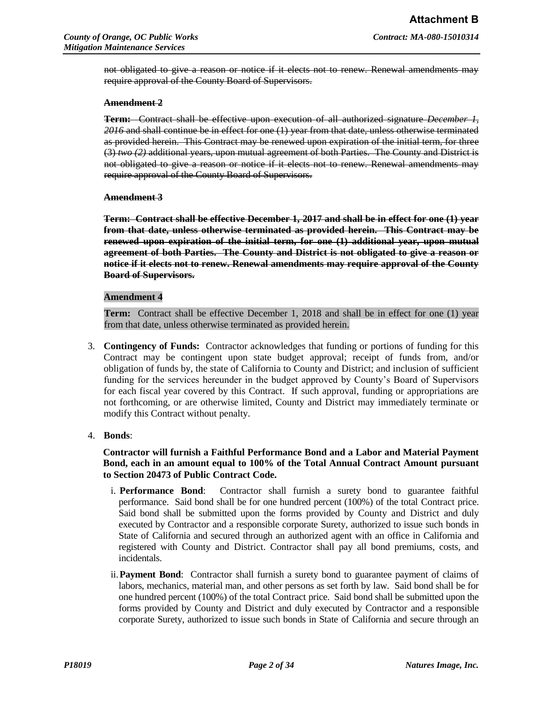not obligated to give a reason or notice if it elects not to renew. Renewal amendments may require approval of the County Board of Supervisors.

#### **Amendment 2**

**Term:** Contract shall be effective upon execution of all authorized signature *December 1, 2016* and shall continue be in effect for one (1) year from that date, unless otherwise terminated as provided herein. This Contract may be renewed upon expiration of the initial term, for three (3) *two (2)* additional years, upon mutual agreement of both Parties. The County and District is not obligated to give a reason or notice if it elects not to renew. Renewal amendments may require approval of the County Board of Supervisors.

#### **Amendment 3**

**Term: Contract shall be effective December 1, 2017 and shall be in effect for one (1) year from that date, unless otherwise terminated as provided herein. This Contract may be renewed upon expiration of the initial term, for one (1) additional year, upon mutual agreement of both Parties. The County and District is not obligated to give a reason or notice if it elects not to renew. Renewal amendments may require approval of the County Board of Supervisors.** 

#### **Amendment 4**

**Term:** Contract shall be effective December 1, 2018 and shall be in effect for one (1) year from that date, unless otherwise terminated as provided herein.

3. **Contingency of Funds:** Contractor acknowledges that funding or portions of funding for this Contract may be contingent upon state budget approval; receipt of funds from, and/or obligation of funds by, the state of California to County and District; and inclusion of sufficient funding for the services hereunder in the budget approved by County's Board of Supervisors for each fiscal year covered by this Contract. If such approval, funding or appropriations are not forthcoming, or are otherwise limited, County and District may immediately terminate or modify this Contract without penalty.

#### 4. **Bonds**:

**Contractor will furnish a Faithful Performance Bond and a Labor and Material Payment Bond, each in an amount equal to 100% of the Total Annual Contract Amount pursuant to Section 20473 of Public Contract Code.** 

- i. **Performance Bond**: Contractor shall furnish a surety bond to guarantee faithful performance. Said bond shall be for one hundred percent (100%) of the total Contract price. Said bond shall be submitted upon the forms provided by County and District and duly executed by Contractor and a responsible corporate Surety, authorized to issue such bonds in State of California and secured through an authorized agent with an office in California and registered with County and District. Contractor shall pay all bond premiums, costs, and incidentals.
- ii.**Payment Bond**: Contractor shall furnish a surety bond to guarantee payment of claims of labors, mechanics, material man, and other persons as set forth by law. Said bond shall be for one hundred percent (100%) of the total Contract price. Said bond shall be submitted upon the forms provided by County and District and duly executed by Contractor and a responsible corporate Surety, authorized to issue such bonds in State of California and secure through an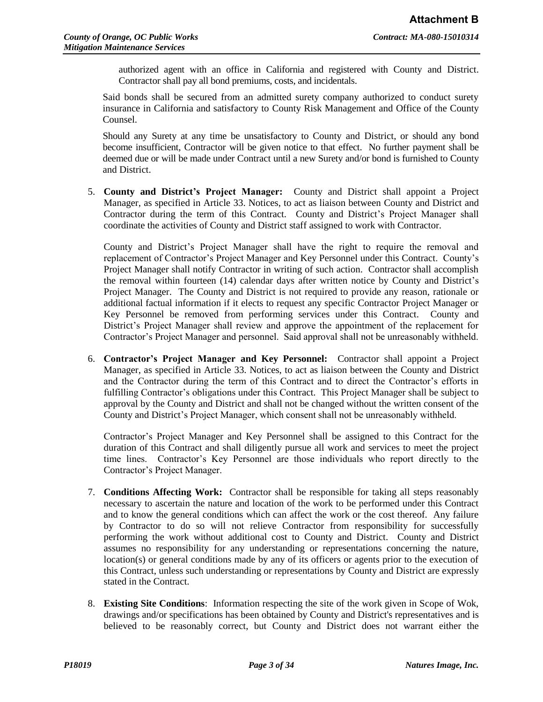authorized agent with an office in California and registered with County and District. Contractor shall pay all bond premiums, costs, and incidentals.

Said bonds shall be secured from an admitted surety company authorized to conduct surety insurance in California and satisfactory to County Risk Management and Office of the County Counsel.

Should any Surety at any time be unsatisfactory to County and District, or should any bond become insufficient, Contractor will be given notice to that effect. No further payment shall be deemed due or will be made under Contract until a new Surety and/or bond is furnished to County and District.

5. **County and District's Project Manager:** County and District shall appoint a Project Manager, as specified in Article 33. Notices, to act as liaison between County and District and Contractor during the term of this Contract. County and District's Project Manager shall coordinate the activities of County and District staff assigned to work with Contractor.

County and District's Project Manager shall have the right to require the removal and replacement of Contractor's Project Manager and Key Personnel under this Contract. County's Project Manager shall notify Contractor in writing of such action. Contractor shall accomplish the removal within fourteen (14) calendar days after written notice by County and District's Project Manager. The County and District is not required to provide any reason, rationale or additional factual information if it elects to request any specific Contractor Project Manager or Key Personnel be removed from performing services under this Contract. County and District's Project Manager shall review and approve the appointment of the replacement for Contractor's Project Manager and personnel. Said approval shall not be unreasonably withheld.

6. **Contractor's Project Manager and Key Personnel:** Contractor shall appoint a Project Manager, as specified in Article 33. Notices, to act as liaison between the County and District and the Contractor during the term of this Contract and to direct the Contractor's efforts in fulfilling Contractor's obligations under this Contract. This Project Manager shall be subject to approval by the County and District and shall not be changed without the written consent of the County and District's Project Manager, which consent shall not be unreasonably withheld.

Contractor's Project Manager and Key Personnel shall be assigned to this Contract for the duration of this Contract and shall diligently pursue all work and services to meet the project time lines. Contractor's Key Personnel are those individuals who report directly to the Contractor's Project Manager.

- 7. **Conditions Affecting Work:** Contractor shall be responsible for taking all steps reasonably necessary to ascertain the nature and location of the work to be performed under this Contract and to know the general conditions which can affect the work or the cost thereof. Any failure by Contractor to do so will not relieve Contractor from responsibility for successfully performing the work without additional cost to County and District. County and District assumes no responsibility for any understanding or representations concerning the nature, location(s) or general conditions made by any of its officers or agents prior to the execution of this Contract, unless such understanding or representations by County and District are expressly stated in the Contract.
- 8. **Existing Site Conditions**: Information respecting the site of the work given in Scope of Wok, drawings and/or specifications has been obtained by County and District's representatives and is believed to be reasonably correct, but County and District does not warrant either the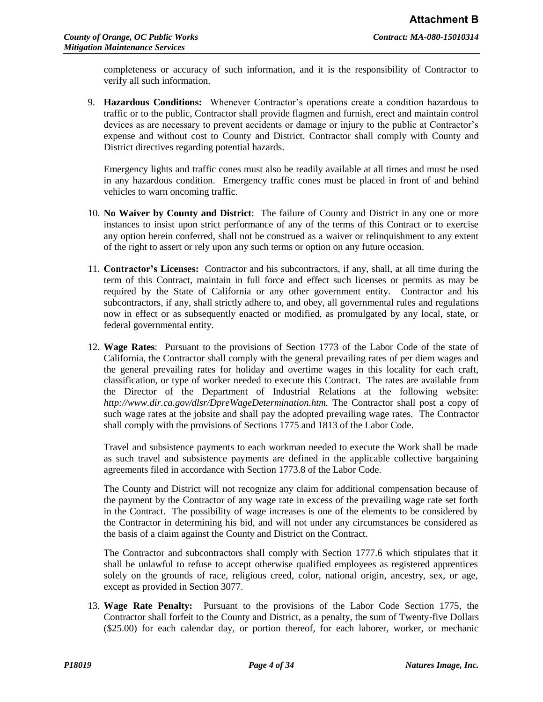completeness or accuracy of such information, and it is the responsibility of Contractor to verify all such information.

9. **Hazardous Conditions:** Whenever Contractor's operations create a condition hazardous to traffic or to the public, Contractor shall provide flagmen and furnish, erect and maintain control devices as are necessary to prevent accidents or damage or injury to the public at Contractor's expense and without cost to County and District. Contractor shall comply with County and District directives regarding potential hazards.

Emergency lights and traffic cones must also be readily available at all times and must be used in any hazardous condition. Emergency traffic cones must be placed in front of and behind vehicles to warn oncoming traffic.

- 10. **No Waiver by County and District**: The failure of County and District in any one or more instances to insist upon strict performance of any of the terms of this Contract or to exercise any option herein conferred, shall not be construed as a waiver or relinquishment to any extent of the right to assert or rely upon any such terms or option on any future occasion.
- 11. **Contractor's Licenses:** Contractor and his subcontractors, if any, shall, at all time during the term of this Contract, maintain in full force and effect such licenses or permits as may be required by the State of California or any other government entity. Contractor and his subcontractors, if any, shall strictly adhere to, and obey, all governmental rules and regulations now in effect or as subsequently enacted or modified, as promulgated by any local, state, or federal governmental entity.
- 12. **Wage Rates**: Pursuant to the provisions of Section 1773 of the Labor Code of the state of California, the Contractor shall comply with the general prevailing rates of per diem wages and the general prevailing rates for holiday and overtime wages in this locality for each craft, classification, or type of worker needed to execute this Contract. The rates are available from the Director of the Department of Industrial Relations at the following website: *http://www.dir.ca.gov/dlsr/DpreWageDetermination.htm.* The Contractor shall post a copy of such wage rates at the jobsite and shall pay the adopted prevailing wage rates. The Contractor shall comply with the provisions of Sections 1775 and 1813 of the Labor Code.

Travel and subsistence payments to each workman needed to execute the Work shall be made as such travel and subsistence payments are defined in the applicable collective bargaining agreements filed in accordance with Section 1773.8 of the Labor Code.

The County and District will not recognize any claim for additional compensation because of the payment by the Contractor of any wage rate in excess of the prevailing wage rate set forth in the Contract. The possibility of wage increases is one of the elements to be considered by the Contractor in determining his bid, and will not under any circumstances be considered as the basis of a claim against the County and District on the Contract.

The Contractor and subcontractors shall comply with Section 1777.6 which stipulates that it shall be unlawful to refuse to accept otherwise qualified employees as registered apprentices solely on the grounds of race, religious creed, color, national origin, ancestry, sex, or age, except as provided in Section 3077.

13. **Wage Rate Penalty:** Pursuant to the provisions of the Labor Code Section 1775, the Contractor shall forfeit to the County and District, as a penalty, the sum of Twenty-five Dollars (\$25.00) for each calendar day, or portion thereof, for each laborer, worker, or mechanic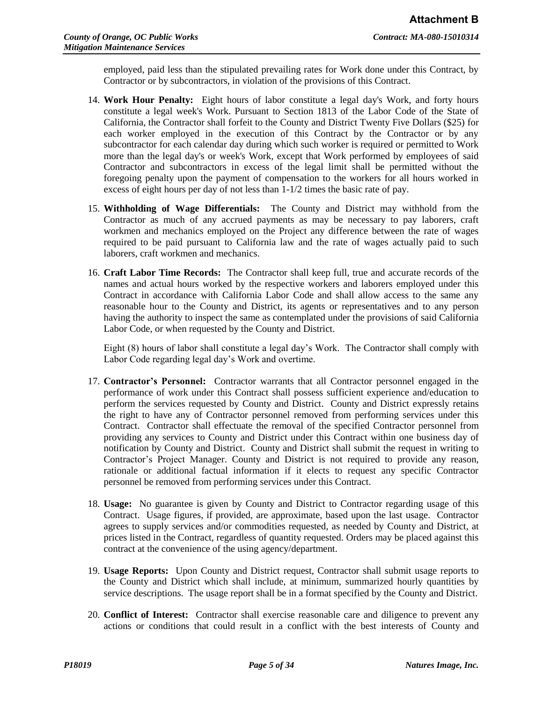employed, paid less than the stipulated prevailing rates for Work done under this Contract, by Contractor or by subcontractors, in violation of the provisions of this Contract.

- 14. **Work Hour Penalty:** Eight hours of labor constitute a legal day's Work, and forty hours constitute a legal week's Work. Pursuant to Section 1813 of the Labor Code of the State of California, the Contractor shall forfeit to the County and District Twenty Five Dollars (\$25) for each worker employed in the execution of this Contract by the Contractor or by any subcontractor for each calendar day during which such worker is required or permitted to Work more than the legal day's or week's Work, except that Work performed by employees of said Contractor and subcontractors in excess of the legal limit shall be permitted without the foregoing penalty upon the payment of compensation to the workers for all hours worked in excess of eight hours per day of not less than 1-1/2 times the basic rate of pay.
- 15. **Withholding of Wage Differentials:** The County and District may withhold from the Contractor as much of any accrued payments as may be necessary to pay laborers, craft workmen and mechanics employed on the Project any difference between the rate of wages required to be paid pursuant to California law and the rate of wages actually paid to such laborers, craft workmen and mechanics.
- 16. **Craft Labor Time Records:** The Contractor shall keep full, true and accurate records of the names and actual hours worked by the respective workers and laborers employed under this Contract in accordance with California Labor Code and shall allow access to the same any reasonable hour to the County and District, its agents or representatives and to any person having the authority to inspect the same as contemplated under the provisions of said California Labor Code, or when requested by the County and District.

Eight (8) hours of labor shall constitute a legal day's Work. The Contractor shall comply with Labor Code regarding legal day's Work and overtime.

- 17. **Contractor's Personnel:** Contractor warrants that all Contractor personnel engaged in the performance of work under this Contract shall possess sufficient experience and/education to perform the services requested by County and District. County and District expressly retains the right to have any of Contractor personnel removed from performing services under this Contract. Contractor shall effectuate the removal of the specified Contractor personnel from providing any services to County and District under this Contract within one business day of notification by County and District. County and District shall submit the request in writing to Contractor's Project Manager. County and District is not required to provide any reason, rationale or additional factual information if it elects to request any specific Contractor personnel be removed from performing services under this Contract.
- 18. **Usage:** No guarantee is given by County and District to Contractor regarding usage of this Contract. Usage figures, if provided, are approximate, based upon the last usage. Contractor agrees to supply services and/or commodities requested, as needed by County and District, at prices listed in the Contract, regardless of quantity requested. Orders may be placed against this contract at the convenience of the using agency/department.
- 19. **Usage Reports:** Upon County and District request, Contractor shall submit usage reports to the County and District which shall include, at minimum, summarized hourly quantities by service descriptions. The usage report shall be in a format specified by the County and District.
- 20. **Conflict of Interest:** Contractor shall exercise reasonable care and diligence to prevent any actions or conditions that could result in a conflict with the best interests of County and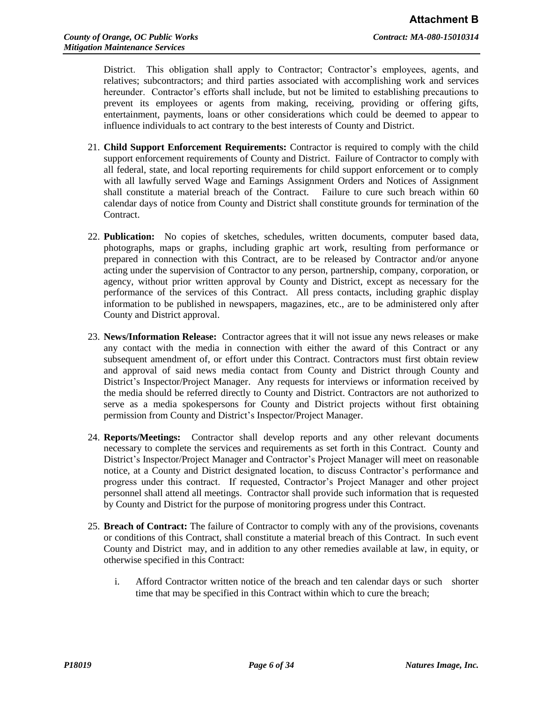District. This obligation shall apply to Contractor; Contractor's employees, agents, and relatives; subcontractors; and third parties associated with accomplishing work and services hereunder. Contractor's efforts shall include, but not be limited to establishing precautions to prevent its employees or agents from making, receiving, providing or offering gifts, entertainment, payments, loans or other considerations which could be deemed to appear to influence individuals to act contrary to the best interests of County and District.

- 21. **Child Support Enforcement Requirements:** Contractor is required to comply with the child support enforcement requirements of County and District. Failure of Contractor to comply with all federal, state, and local reporting requirements for child support enforcement or to comply with all lawfully served Wage and Earnings Assignment Orders and Notices of Assignment shall constitute a material breach of the Contract. Failure to cure such breach within 60 calendar days of notice from County and District shall constitute grounds for termination of the Contract.
- 22. **Publication:** No copies of sketches, schedules, written documents, computer based data, photographs, maps or graphs, including graphic art work, resulting from performance or prepared in connection with this Contract, are to be released by Contractor and/or anyone acting under the supervision of Contractor to any person, partnership, company, corporation, or agency, without prior written approval by County and District, except as necessary for the performance of the services of this Contract. All press contacts, including graphic display information to be published in newspapers, magazines, etc., are to be administered only after County and District approval.
- 23. **News/Information Release:** Contractor agrees that it will not issue any news releases or make any contact with the media in connection with either the award of this Contract or any subsequent amendment of, or effort under this Contract. Contractors must first obtain review and approval of said news media contact from County and District through County and District's Inspector/Project Manager. Any requests for interviews or information received by the media should be referred directly to County and District. Contractors are not authorized to serve as a media spokespersons for County and District projects without first obtaining permission from County and District's Inspector/Project Manager.
- 24. **Reports/Meetings:** Contractor shall develop reports and any other relevant documents necessary to complete the services and requirements as set forth in this Contract. County and District's Inspector/Project Manager and Contractor's Project Manager will meet on reasonable notice, at a County and District designated location, to discuss Contractor's performance and progress under this contract. If requested, Contractor's Project Manager and other project personnel shall attend all meetings. Contractor shall provide such information that is requested by County and District for the purpose of monitoring progress under this Contract.
- 25. **Breach of Contract:** The failure of Contractor to comply with any of the provisions, covenants or conditions of this Contract, shall constitute a material breach of this Contract. In such event County and District may, and in addition to any other remedies available at law, in equity, or otherwise specified in this Contract:
	- i. Afford Contractor written notice of the breach and ten calendar days or such shorter time that may be specified in this Contract within which to cure the breach;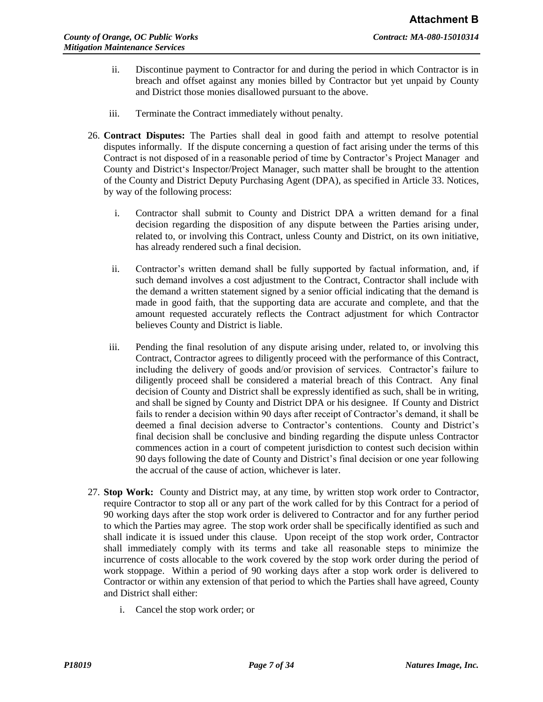- ii. Discontinue payment to Contractor for and during the period in which Contractor is in breach and offset against any monies billed by Contractor but yet unpaid by County and District those monies disallowed pursuant to the above.
- iii. Terminate the Contract immediately without penalty.
- 26. **Contract Disputes:** The Parties shall deal in good faith and attempt to resolve potential disputes informally. If the dispute concerning a question of fact arising under the terms of this Contract is not disposed of in a reasonable period of time by Contractor's Project Manager and County and District's Inspector/Project Manager, such matter shall be brought to the attention of the County and District Deputy Purchasing Agent (DPA), as specified in Article 33. Notices, by way of the following process:
	- i. Contractor shall submit to County and District DPA a written demand for a final decision regarding the disposition of any dispute between the Parties arising under, related to, or involving this Contract, unless County and District, on its own initiative, has already rendered such a final decision.
	- ii. Contractor's written demand shall be fully supported by factual information, and, if such demand involves a cost adjustment to the Contract, Contractor shall include with the demand a written statement signed by a senior official indicating that the demand is made in good faith, that the supporting data are accurate and complete, and that the amount requested accurately reflects the Contract adjustment for which Contractor believes County and District is liable.
	- iii. Pending the final resolution of any dispute arising under, related to, or involving this Contract, Contractor agrees to diligently proceed with the performance of this Contract, including the delivery of goods and/or provision of services. Contractor's failure to diligently proceed shall be considered a material breach of this Contract. Any final decision of County and District shall be expressly identified as such, shall be in writing, and shall be signed by County and District DPA or his designee. If County and District fails to render a decision within 90 days after receipt of Contractor's demand, it shall be deemed a final decision adverse to Contractor's contentions. County and District's final decision shall be conclusive and binding regarding the dispute unless Contractor commences action in a court of competent jurisdiction to contest such decision within 90 days following the date of County and District's final decision or one year following the accrual of the cause of action, whichever is later.
- 27. **Stop Work:** County and District may, at any time, by written stop work order to Contractor, require Contractor to stop all or any part of the work called for by this Contract for a period of 90 working days after the stop work order is delivered to Contractor and for any further period to which the Parties may agree. The stop work order shall be specifically identified as such and shall indicate it is issued under this clause. Upon receipt of the stop work order, Contractor shall immediately comply with its terms and take all reasonable steps to minimize the incurrence of costs allocable to the work covered by the stop work order during the period of work stoppage. Within a period of 90 working days after a stop work order is delivered to Contractor or within any extension of that period to which the Parties shall have agreed, County and District shall either:
	- i. Cancel the stop work order; or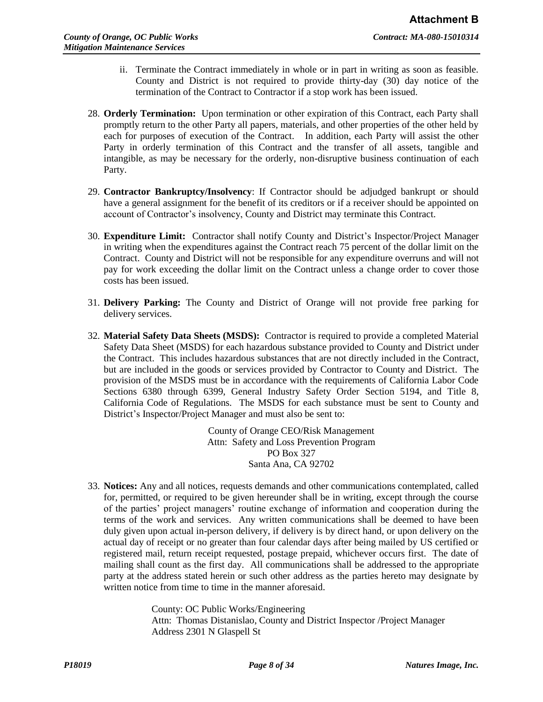- ii. Terminate the Contract immediately in whole or in part in writing as soon as feasible. County and District is not required to provide thirty-day (30) day notice of the termination of the Contract to Contractor if a stop work has been issued.
- 28. **Orderly Termination:** Upon termination or other expiration of this Contract, each Party shall promptly return to the other Party all papers, materials, and other properties of the other held by each for purposes of execution of the Contract. In addition, each Party will assist the other Party in orderly termination of this Contract and the transfer of all assets, tangible and intangible, as may be necessary for the orderly, non-disruptive business continuation of each Party.
- 29. **Contractor Bankruptcy/Insolvency**: If Contractor should be adjudged bankrupt or should have a general assignment for the benefit of its creditors or if a receiver should be appointed on account of Contractor's insolvency, County and District may terminate this Contract.
- 30. **Expenditure Limit:** Contractor shall notify County and District's Inspector/Project Manager in writing when the expenditures against the Contract reach 75 percent of the dollar limit on the Contract. County and District will not be responsible for any expenditure overruns and will not pay for work exceeding the dollar limit on the Contract unless a change order to cover those costs has been issued.
- 31. **Delivery Parking:** The County and District of Orange will not provide free parking for delivery services.
- 32. **Material Safety Data Sheets (MSDS):** Contractor is required to provide a completed Material Safety Data Sheet (MSDS) for each hazardous substance provided to County and District under the Contract. This includes hazardous substances that are not directly included in the Contract, but are included in the goods or services provided by Contractor to County and District. The provision of the MSDS must be in accordance with the requirements of California Labor Code Sections 6380 through 6399, General Industry Safety Order Section 5194, and Title 8, California Code of Regulations. The MSDS for each substance must be sent to County and District's Inspector/Project Manager and must also be sent to:

County of Orange CEO/Risk Management Attn: Safety and Loss Prevention Program PO Box 327 Santa Ana, CA 92702

33. **Notices:** Any and all notices, requests demands and other communications contemplated, called for, permitted, or required to be given hereunder shall be in writing, except through the course of the parties' project managers' routine exchange of information and cooperation during the terms of the work and services. Any written communications shall be deemed to have been duly given upon actual in-person delivery, if delivery is by direct hand, or upon delivery on the actual day of receipt or no greater than four calendar days after being mailed by US certified or registered mail, return receipt requested, postage prepaid, whichever occurs first. The date of mailing shall count as the first day. All communications shall be addressed to the appropriate party at the address stated herein or such other address as the parties hereto may designate by written notice from time to time in the manner aforesaid.

> County: OC Public Works/Engineering Attn: Thomas Distanislao, County and District Inspector /Project Manager Address 2301 N Glaspell St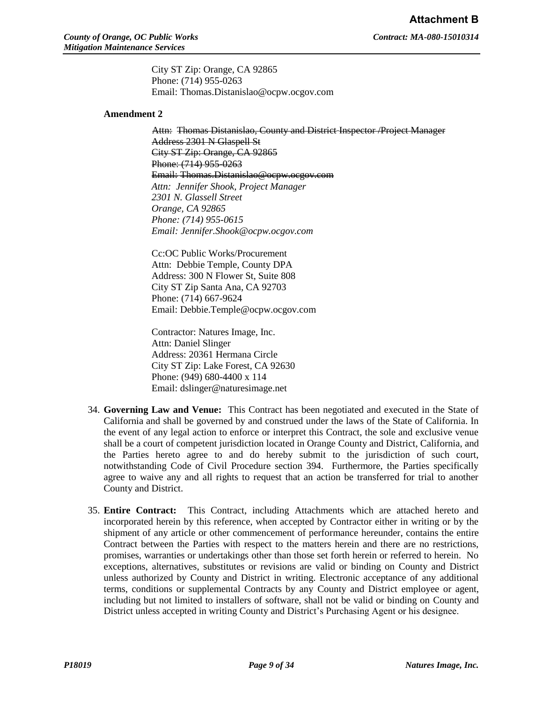City ST Zip: Orange, CA 92865 Phone: (714) 955-0263 Email: Thomas.Distanislao@ocpw.ocgov.com

#### **Amendment 2**

Attn: Thomas Distanislao, County and District Inspector /Project Manager Address 2301 N Glaspell St City ST Zip: Orange, CA 92865 Phone: (714) 955-0263 Email: Thomas.Distanislao@ocpw.ocgov.com *Attn: Jennifer Shook, Project Manager 2301 N. Glassell Street Orange, CA 92865 Phone: (714) 955-0615 Email: Jennifer.Shook@ocpw.ocgov.com* 

Cc:OC Public Works/Procurement Attn: Debbie Temple, County DPA Address: 300 N Flower St, Suite 808 City ST Zip Santa Ana, CA 92703 Phone: (714) 667-9624 Email: Debbie.Temple@ocpw.ocgov.com

Contractor: Natures Image, Inc. Attn: Daniel Slinger Address: 20361 Hermana Circle City ST Zip: Lake Forest, CA 92630 Phone: (949) 680-4400 x 114 Email: dslinger@naturesimage.net

- 34. **Governing Law and Venue:** This Contract has been negotiated and executed in the State of California and shall be governed by and construed under the laws of the State of California. In the event of any legal action to enforce or interpret this Contract, the sole and exclusive venue shall be a court of competent jurisdiction located in Orange County and District, California, and the Parties hereto agree to and do hereby submit to the jurisdiction of such court, notwithstanding Code of Civil Procedure section 394. Furthermore, the Parties specifically agree to waive any and all rights to request that an action be transferred for trial to another County and District.
- 35. **Entire Contract:** This Contract, including Attachments which are attached hereto and incorporated herein by this reference, when accepted by Contractor either in writing or by the shipment of any article or other commencement of performance hereunder, contains the entire Contract between the Parties with respect to the matters herein and there are no restrictions, promises, warranties or undertakings other than those set forth herein or referred to herein. No exceptions, alternatives, substitutes or revisions are valid or binding on County and District unless authorized by County and District in writing. Electronic acceptance of any additional terms, conditions or supplemental Contracts by any County and District employee or agent, including but not limited to installers of software, shall not be valid or binding on County and District unless accepted in writing County and District's Purchasing Agent or his designee.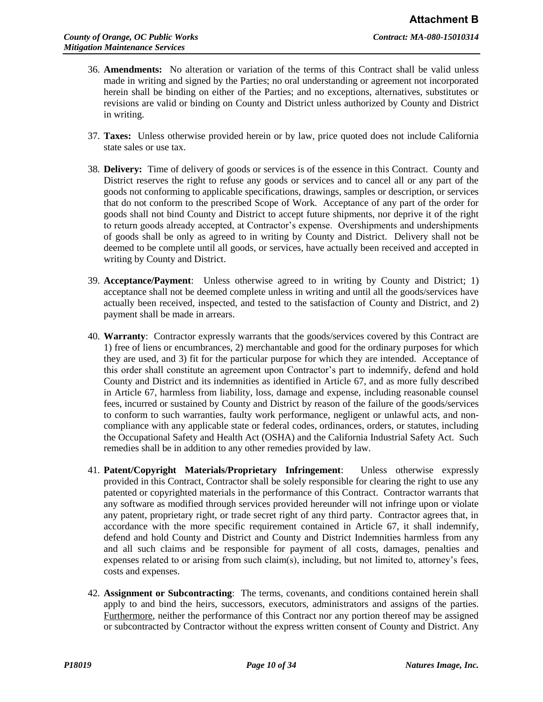- 36. **Amendments:** No alteration or variation of the terms of this Contract shall be valid unless made in writing and signed by the Parties; no oral understanding or agreement not incorporated herein shall be binding on either of the Parties; and no exceptions, alternatives, substitutes or revisions are valid or binding on County and District unless authorized by County and District in writing.
- 37. **Taxes:** Unless otherwise provided herein or by law, price quoted does not include California state sales or use tax.
- 38. **Delivery:** Time of delivery of goods or services is of the essence in this Contract. County and District reserves the right to refuse any goods or services and to cancel all or any part of the goods not conforming to applicable specifications, drawings, samples or description, or services that do not conform to the prescribed Scope of Work. Acceptance of any part of the order for goods shall not bind County and District to accept future shipments, nor deprive it of the right to return goods already accepted, at Contractor's expense. Overshipments and undershipments of goods shall be only as agreed to in writing by County and District. Delivery shall not be deemed to be complete until all goods, or services, have actually been received and accepted in writing by County and District.
- 39. **Acceptance/Payment**: Unless otherwise agreed to in writing by County and District; 1) acceptance shall not be deemed complete unless in writing and until all the goods/services have actually been received, inspected, and tested to the satisfaction of County and District, and 2) payment shall be made in arrears.
- 40. **Warranty**: Contractor expressly warrants that the goods/services covered by this Contract are 1) free of liens or encumbrances, 2) merchantable and good for the ordinary purposes for which they are used, and 3) fit for the particular purpose for which they are intended. Acceptance of this order shall constitute an agreement upon Contractor's part to indemnify, defend and hold County and District and its indemnities as identified in Article 67, and as more fully described in Article 67, harmless from liability, loss, damage and expense, including reasonable counsel fees, incurred or sustained by County and District by reason of the failure of the goods/services to conform to such warranties, faulty work performance, negligent or unlawful acts, and noncompliance with any applicable state or federal codes, ordinances, orders, or statutes, including the Occupational Safety and Health Act (OSHA) and the California Industrial Safety Act. Such remedies shall be in addition to any other remedies provided by law.
- 41. **Patent/Copyright Materials/Proprietary Infringement**: Unless otherwise expressly provided in this Contract, Contractor shall be solely responsible for clearing the right to use any patented or copyrighted materials in the performance of this Contract. Contractor warrants that any software as modified through services provided hereunder will not infringe upon or violate any patent, proprietary right, or trade secret right of any third party. Contractor agrees that, in accordance with the more specific requirement contained in Article 67, it shall indemnify, defend and hold County and District and County and District Indemnities harmless from any and all such claims and be responsible for payment of all costs, damages, penalties and expenses related to or arising from such claim(s), including, but not limited to, attorney's fees, costs and expenses.
- 42. **Assignment or Subcontracting**: The terms, covenants, and conditions contained herein shall apply to and bind the heirs, successors, executors, administrators and assigns of the parties. Furthermore, neither the performance of this Contract nor any portion thereof may be assigned or subcontracted by Contractor without the express written consent of County and District. Any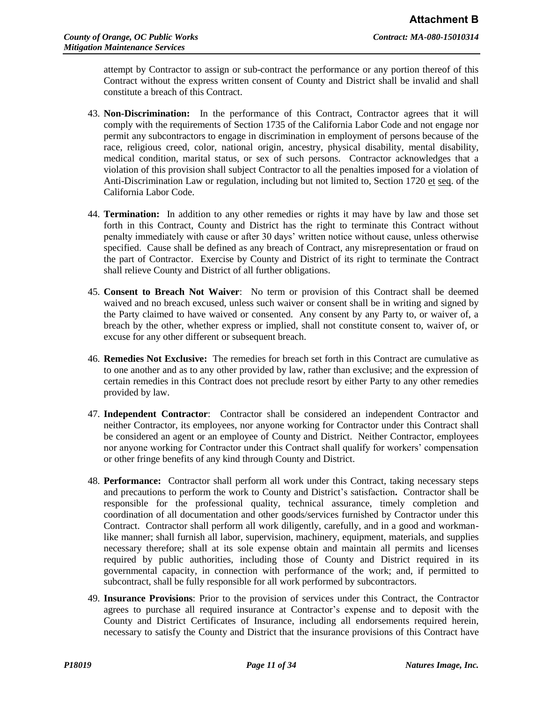attempt by Contractor to assign or sub-contract the performance or any portion thereof of this Contract without the express written consent of County and District shall be invalid and shall constitute a breach of this Contract.

- 43. **Non-Discrimination:** In the performance of this Contract, Contractor agrees that it will comply with the requirements of Section 1735 of the California Labor Code and not engage nor permit any subcontractors to engage in discrimination in employment of persons because of the race, religious creed, color, national origin, ancestry, physical disability, mental disability, medical condition, marital status, or sex of such persons. Contractor acknowledges that a violation of this provision shall subject Contractor to all the penalties imposed for a violation of Anti-Discrimination Law or regulation, including but not limited to, Section 1720 et seq. of the California Labor Code.
- 44. **Termination:** In addition to any other remedies or rights it may have by law and those set forth in this Contract, County and District has the right to terminate this Contract without penalty immediately with cause or after 30 days' written notice without cause, unless otherwise specified. Cause shall be defined as any breach of Contract, any misrepresentation or fraud on the part of Contractor. Exercise by County and District of its right to terminate the Contract shall relieve County and District of all further obligations.
- 45. **Consent to Breach Not Waiver**: No term or provision of this Contract shall be deemed waived and no breach excused, unless such waiver or consent shall be in writing and signed by the Party claimed to have waived or consented. Any consent by any Party to, or waiver of, a breach by the other, whether express or implied, shall not constitute consent to, waiver of, or excuse for any other different or subsequent breach.
- 46. **Remedies Not Exclusive:** The remedies for breach set forth in this Contract are cumulative as to one another and as to any other provided by law, rather than exclusive; and the expression of certain remedies in this Contract does not preclude resort by either Party to any other remedies provided by law.
- 47. **Independent Contractor**: Contractor shall be considered an independent Contractor and neither Contractor, its employees, nor anyone working for Contractor under this Contract shall be considered an agent or an employee of County and District. Neither Contractor, employees nor anyone working for Contractor under this Contract shall qualify for workers' compensation or other fringe benefits of any kind through County and District.
- 48. **Performance:** Contractor shall perform all work under this Contract, taking necessary steps and precautions to perform the work to County and District's satisfaction**.** Contractor shall be responsible for the professional quality, technical assurance, timely completion and coordination of all documentation and other goods/services furnished by Contractor under this Contract. Contractor shall perform all work diligently, carefully, and in a good and workmanlike manner; shall furnish all labor, supervision, machinery, equipment, materials, and supplies necessary therefore; shall at its sole expense obtain and maintain all permits and licenses required by public authorities, including those of County and District required in its governmental capacity, in connection with performance of the work; and, if permitted to subcontract, shall be fully responsible for all work performed by subcontractors.
- 49. **Insurance Provisions**: Prior to the provision of services under this Contract, the Contractor agrees to purchase all required insurance at Contractor's expense and to deposit with the County and District Certificates of Insurance, including all endorsements required herein, necessary to satisfy the County and District that the insurance provisions of this Contract have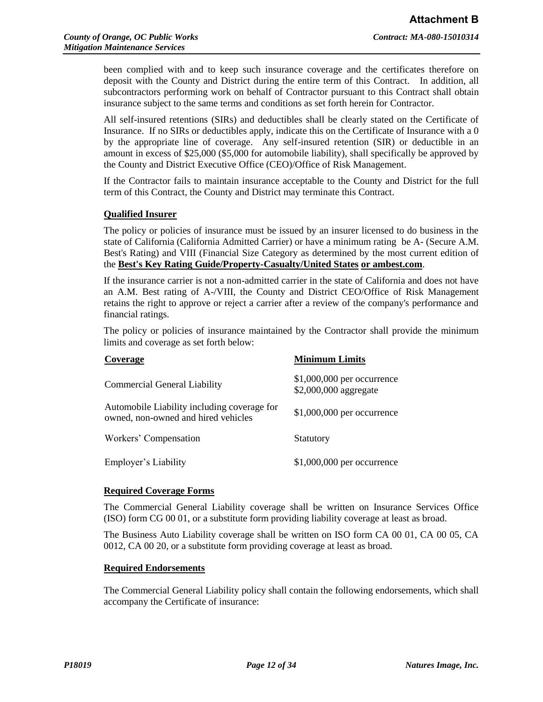been complied with and to keep such insurance coverage and the certificates therefore on deposit with the County and District during the entire term of this Contract. In addition, all subcontractors performing work on behalf of Contractor pursuant to this Contract shall obtain insurance subject to the same terms and conditions as set forth herein for Contractor.

All self-insured retentions (SIRs) and deductibles shall be clearly stated on the Certificate of Insurance. If no SIRs or deductibles apply, indicate this on the Certificate of Insurance with a 0 by the appropriate line of coverage. Any self-insured retention (SIR) or deductible in an amount in excess of \$25,000 (\$5,000 for automobile liability), shall specifically be approved by the County and District Executive Office (CEO)/Office of Risk Management.

If the Contractor fails to maintain insurance acceptable to the County and District for the full term of this Contract, the County and District may terminate this Contract.

# **Qualified Insurer**

The policy or policies of insurance must be issued by an insurer licensed to do business in the state of California (California Admitted Carrier) or have a minimum rating be A- (Secure A.M. Best's Rating) and VIII (Financial Size Category as determined by the most current edition of the **Best's Key Rating Guide/Property-Casualty/United States or ambest.com**.

If the insurance carrier is not a non-admitted carrier in the state of California and does not have an A.M. Best rating of A-/VIII, the County and District CEO/Office of Risk Management retains the right to approve or reject a carrier after a review of the company's performance and financial ratings.

The policy or policies of insurance maintained by the Contractor shall provide the minimum limits and coverage as set forth below:

| Coverage                                                                           | <b>Minimum Limits</b>                                |
|------------------------------------------------------------------------------------|------------------------------------------------------|
| <b>Commercial General Liability</b>                                                | $$1,000,000$ per occurrence<br>\$2,000,000 aggregate |
| Automobile Liability including coverage for<br>owned, non-owned and hired vehicles | \$1,000,000 per occurrence                           |
| Workers' Compensation                                                              | Statutory                                            |
| Employer's Liability                                                               | $$1,000,000$ per occurrence                          |

#### **Required Coverage Forms**

The Commercial General Liability coverage shall be written on Insurance Services Office (ISO) form CG 00 01, or a substitute form providing liability coverage at least as broad.

The Business Auto Liability coverage shall be written on ISO form CA 00 01, CA 00 05, CA 0012, CA 00 20, or a substitute form providing coverage at least as broad.

#### **Required Endorsements**

The Commercial General Liability policy shall contain the following endorsements, which shall accompany the Certificate of insurance: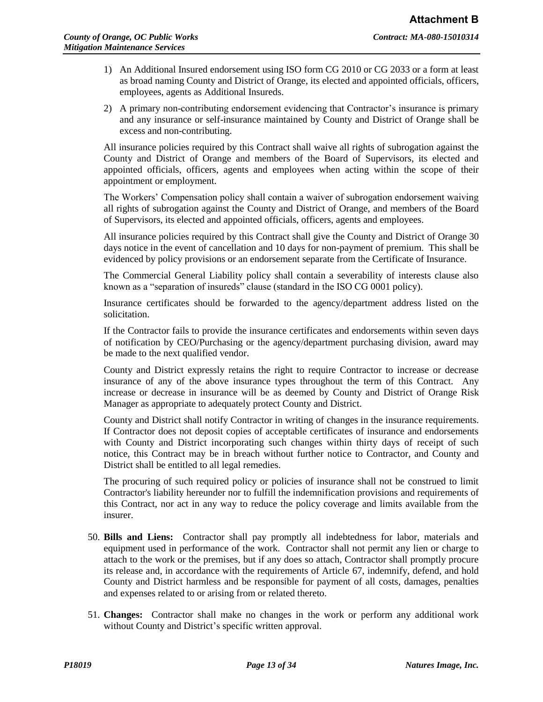- 1) An Additional Insured endorsement using ISO form CG 2010 or CG 2033 or a form at least as broad naming County and District of Orange, its elected and appointed officials, officers, employees, agents as Additional Insureds.
- 2) A primary non-contributing endorsement evidencing that Contractor's insurance is primary and any insurance or self-insurance maintained by County and District of Orange shall be excess and non-contributing.

All insurance policies required by this Contract shall waive all rights of subrogation against the County and District of Orange and members of the Board of Supervisors, its elected and appointed officials, officers, agents and employees when acting within the scope of their appointment or employment.

The Workers' Compensation policy shall contain a waiver of subrogation endorsement waiving all rights of subrogation against the County and District of Orange, and members of the Board of Supervisors, its elected and appointed officials, officers, agents and employees.

All insurance policies required by this Contract shall give the County and District of Orange 30 days notice in the event of cancellation and 10 days for non-payment of premium. This shall be evidenced by policy provisions or an endorsement separate from the Certificate of Insurance.

The Commercial General Liability policy shall contain a severability of interests clause also known as a "separation of insureds" clause (standard in the ISO CG 0001 policy).

Insurance certificates should be forwarded to the agency/department address listed on the solicitation.

If the Contractor fails to provide the insurance certificates and endorsements within seven days of notification by CEO/Purchasing or the agency/department purchasing division, award may be made to the next qualified vendor.

County and District expressly retains the right to require Contractor to increase or decrease insurance of any of the above insurance types throughout the term of this Contract. Any increase or decrease in insurance will be as deemed by County and District of Orange Risk Manager as appropriate to adequately protect County and District.

County and District shall notify Contractor in writing of changes in the insurance requirements. If Contractor does not deposit copies of acceptable certificates of insurance and endorsements with County and District incorporating such changes within thirty days of receipt of such notice, this Contract may be in breach without further notice to Contractor, and County and District shall be entitled to all legal remedies.

The procuring of such required policy or policies of insurance shall not be construed to limit Contractor's liability hereunder nor to fulfill the indemnification provisions and requirements of this Contract, nor act in any way to reduce the policy coverage and limits available from the insurer.

- 50. **Bills and Liens:** Contractor shall pay promptly all indebtedness for labor, materials and equipment used in performance of the work. Contractor shall not permit any lien or charge to attach to the work or the premises, but if any does so attach, Contractor shall promptly procure its release and, in accordance with the requirements of Article 67, indemnify, defend, and hold County and District harmless and be responsible for payment of all costs, damages, penalties and expenses related to or arising from or related thereto.
- 51. **Changes:** Contractor shall make no changes in the work or perform any additional work without County and District's specific written approval.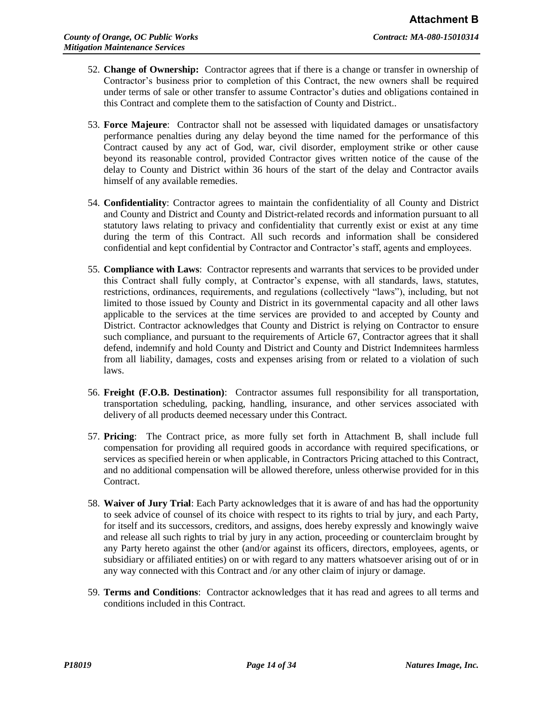- 52. **Change of Ownership:** Contractor agrees that if there is a change or transfer in ownership of Contractor's business prior to completion of this Contract, the new owners shall be required under terms of sale or other transfer to assume Contractor's duties and obligations contained in this Contract and complete them to the satisfaction of County and District..
- 53. **Force Majeure**: Contractor shall not be assessed with liquidated damages or unsatisfactory performance penalties during any delay beyond the time named for the performance of this Contract caused by any act of God, war, civil disorder, employment strike or other cause beyond its reasonable control, provided Contractor gives written notice of the cause of the delay to County and District within 36 hours of the start of the delay and Contractor avails himself of any available remedies.
- 54. **Confidentiality**: Contractor agrees to maintain the confidentiality of all County and District and County and District and County and District-related records and information pursuant to all statutory laws relating to privacy and confidentiality that currently exist or exist at any time during the term of this Contract. All such records and information shall be considered confidential and kept confidential by Contractor and Contractor's staff, agents and employees.
- 55. **Compliance with Laws**: Contractor represents and warrants that services to be provided under this Contract shall fully comply, at Contractor's expense, with all standards, laws, statutes, restrictions, ordinances, requirements, and regulations (collectively "laws"), including, but not limited to those issued by County and District in its governmental capacity and all other laws applicable to the services at the time services are provided to and accepted by County and District. Contractor acknowledges that County and District is relying on Contractor to ensure such compliance, and pursuant to the requirements of Article 67, Contractor agrees that it shall defend, indemnify and hold County and District and County and District Indemnitees harmless from all liability, damages, costs and expenses arising from or related to a violation of such laws.
- 56. **Freight (F.O.B. Destination)**: Contractor assumes full responsibility for all transportation, transportation scheduling, packing, handling, insurance, and other services associated with delivery of all products deemed necessary under this Contract.
- 57. **Pricing**: The Contract price, as more fully set forth in Attachment B, shall include full compensation for providing all required goods in accordance with required specifications, or services as specified herein or when applicable, in Contractors Pricing attached to this Contract, and no additional compensation will be allowed therefore, unless otherwise provided for in this Contract.
- 58. **Waiver of Jury Trial**: Each Party acknowledges that it is aware of and has had the opportunity to seek advice of counsel of its choice with respect to its rights to trial by jury, and each Party, for itself and its successors, creditors, and assigns, does hereby expressly and knowingly waive and release all such rights to trial by jury in any action, proceeding or counterclaim brought by any Party hereto against the other (and/or against its officers, directors, employees, agents, or subsidiary or affiliated entities) on or with regard to any matters whatsoever arising out of or in any way connected with this Contract and /or any other claim of injury or damage.
- 59. **Terms and Conditions**: Contractor acknowledges that it has read and agrees to all terms and conditions included in this Contract.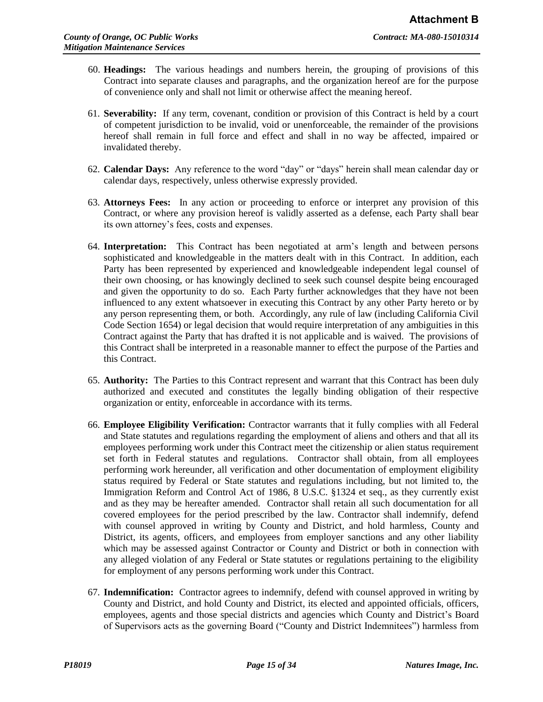- 60. **Headings:** The various headings and numbers herein, the grouping of provisions of this Contract into separate clauses and paragraphs, and the organization hereof are for the purpose of convenience only and shall not limit or otherwise affect the meaning hereof.
- 61. **Severability:** If any term, covenant, condition or provision of this Contract is held by a court of competent jurisdiction to be invalid, void or unenforceable, the remainder of the provisions hereof shall remain in full force and effect and shall in no way be affected, impaired or invalidated thereby.
- 62. **Calendar Days:** Any reference to the word "day" or "days" herein shall mean calendar day or calendar days, respectively, unless otherwise expressly provided.
- 63. **Attorneys Fees:** In any action or proceeding to enforce or interpret any provision of this Contract, or where any provision hereof is validly asserted as a defense, each Party shall bear its own attorney's fees, costs and expenses.
- 64. **Interpretation:** This Contract has been negotiated at arm's length and between persons sophisticated and knowledgeable in the matters dealt with in this Contract. In addition, each Party has been represented by experienced and knowledgeable independent legal counsel of their own choosing, or has knowingly declined to seek such counsel despite being encouraged and given the opportunity to do so. Each Party further acknowledges that they have not been influenced to any extent whatsoever in executing this Contract by any other Party hereto or by any person representing them, or both. Accordingly, any rule of law (including California Civil Code Section 1654) or legal decision that would require interpretation of any ambiguities in this Contract against the Party that has drafted it is not applicable and is waived. The provisions of this Contract shall be interpreted in a reasonable manner to effect the purpose of the Parties and this Contract.
- 65. **Authority:** The Parties to this Contract represent and warrant that this Contract has been duly authorized and executed and constitutes the legally binding obligation of their respective organization or entity, enforceable in accordance with its terms.
- 66. **Employee Eligibility Verification:** Contractor warrants that it fully complies with all Federal and State statutes and regulations regarding the employment of aliens and others and that all its employees performing work under this Contract meet the citizenship or alien status requirement set forth in Federal statutes and regulations. Contractor shall obtain, from all employees performing work hereunder, all verification and other documentation of employment eligibility status required by Federal or State statutes and regulations including, but not limited to, the Immigration Reform and Control Act of 1986, 8 U.S.C. §1324 et seq., as they currently exist and as they may be hereafter amended. Contractor shall retain all such documentation for all covered employees for the period prescribed by the law. Contractor shall indemnify, defend with counsel approved in writing by County and District, and hold harmless, County and District, its agents, officers, and employees from employer sanctions and any other liability which may be assessed against Contractor or County and District or both in connection with any alleged violation of any Federal or State statutes or regulations pertaining to the eligibility for employment of any persons performing work under this Contract.
- 67. **Indemnification:** Contractor agrees to indemnify, defend with counsel approved in writing by County and District, and hold County and District, its elected and appointed officials, officers, employees, agents and those special districts and agencies which County and District's Board of Supervisors acts as the governing Board ("County and District Indemnitees") harmless from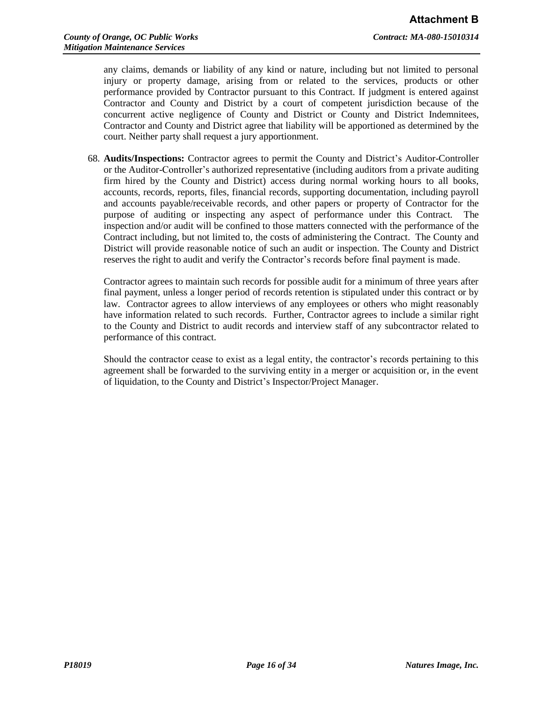any claims, demands or liability of any kind or nature, including but not limited to personal injury or property damage, arising from or related to the services, products or other performance provided by Contractor pursuant to this Contract. If judgment is entered against Contractor and County and District by a court of competent jurisdiction because of the concurrent active negligence of County and District or County and District Indemnitees, Contractor and County and District agree that liability will be apportioned as determined by the court. Neither party shall request a jury apportionment.

68. **Audits/Inspections:** Contractor agrees to permit the County and District's Auditor-Controller or the Auditor-Controller's authorized representative (including auditors from a private auditing firm hired by the County and District) access during normal working hours to all books, accounts, records, reports, files, financial records, supporting documentation, including payroll and accounts payable/receivable records, and other papers or property of Contractor for the purpose of auditing or inspecting any aspect of performance under this Contract. The inspection and/or audit will be confined to those matters connected with the performance of the Contract including, but not limited to, the costs of administering the Contract. The County and District will provide reasonable notice of such an audit or inspection. The County and District reserves the right to audit and verify the Contractor's records before final payment is made.

Contractor agrees to maintain such records for possible audit for a minimum of three years after final payment, unless a longer period of records retention is stipulated under this contract or by law. Contractor agrees to allow interviews of any employees or others who might reasonably have information related to such records. Further, Contractor agrees to include a similar right to the County and District to audit records and interview staff of any subcontractor related to performance of this contract.

Should the contractor cease to exist as a legal entity, the contractor's records pertaining to this agreement shall be forwarded to the surviving entity in a merger or acquisition or, in the event of liquidation, to the County and District's Inspector/Project Manager.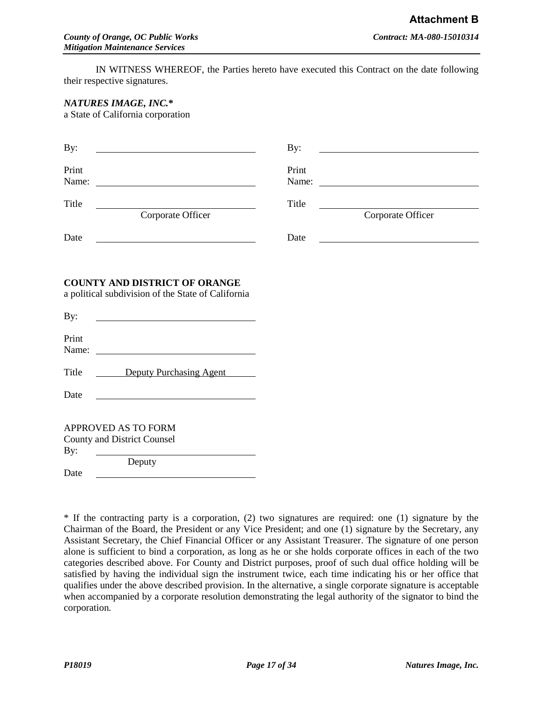IN WITNESS WHEREOF, the Parties hereto have executed this Contract on the date following their respective signatures.

### *NATURES IMAGE, INC.***\***

a State of California corporation

| By:                                                                                                                                                                                                                                                           | By:   |                                                                                                                                                                                                                                                                                                                                                                                                               |
|---------------------------------------------------------------------------------------------------------------------------------------------------------------------------------------------------------------------------------------------------------------|-------|---------------------------------------------------------------------------------------------------------------------------------------------------------------------------------------------------------------------------------------------------------------------------------------------------------------------------------------------------------------------------------------------------------------|
| Print<br>Name:                                                                                                                                                                                                                                                | Print | Name: $\frac{1}{\sqrt{1-\frac{1}{2}}\sqrt{1-\frac{1}{2}}\sqrt{1-\frac{1}{2}}\sqrt{1-\frac{1}{2}}\sqrt{1-\frac{1}{2}}\sqrt{1-\frac{1}{2}}\sqrt{1-\frac{1}{2}}\sqrt{1-\frac{1}{2}}\sqrt{1-\frac{1}{2}}\sqrt{1-\frac{1}{2}}\sqrt{1-\frac{1}{2}}\sqrt{1-\frac{1}{2}}\sqrt{1-\frac{1}{2}}\sqrt{1-\frac{1}{2}}\sqrt{1-\frac{1}{2}}\sqrt{1-\frac{1}{2}}\sqrt{1-\frac{1}{2}}\sqrt{1-\frac{1}{2}}\sqrt{1-\frac{1}{2}}$ |
| Title<br>Corporate Officer                                                                                                                                                                                                                                    | Title | Corporate Officer                                                                                                                                                                                                                                                                                                                                                                                             |
| Date                                                                                                                                                                                                                                                          | Date  |                                                                                                                                                                                                                                                                                                                                                                                                               |
| <b>COUNTY AND DISTRICT OF ORANGE</b><br>a political subdivision of the State of California                                                                                                                                                                    |       |                                                                                                                                                                                                                                                                                                                                                                                                               |
| By:<br><u> 1989 - Johann Barbara, martin amerikan basal dan basal dan basal dan basal dan basal dan basal dan basal dan</u>                                                                                                                                   |       |                                                                                                                                                                                                                                                                                                                                                                                                               |
| Print<br>Name:<br><u> Alexandria de la contrada de la contrada de la contrada de la contrada de la contrada de la contrada de la c</u>                                                                                                                        |       |                                                                                                                                                                                                                                                                                                                                                                                                               |
| Title<br>Deputy Purchasing Agent                                                                                                                                                                                                                              |       |                                                                                                                                                                                                                                                                                                                                                                                                               |
| Date                                                                                                                                                                                                                                                          |       |                                                                                                                                                                                                                                                                                                                                                                                                               |
| <b>APPROVED AS TO FORM</b>                                                                                                                                                                                                                                    |       |                                                                                                                                                                                                                                                                                                                                                                                                               |
| <b>County and District Counsel</b>                                                                                                                                                                                                                            |       |                                                                                                                                                                                                                                                                                                                                                                                                               |
| By:<br>Deputy<br>Date<br><u>and the state of the state of the state of the state of the state of the state of the state of the state of the state of the state of the state of the state of the state of the state of the state of the state of the state</u> |       |                                                                                                                                                                                                                                                                                                                                                                                                               |
|                                                                                                                                                                                                                                                               |       |                                                                                                                                                                                                                                                                                                                                                                                                               |

\* If the contracting party is a corporation, (2) two signatures are required: one (1) signature by the Chairman of the Board, the President or any Vice President; and one (1) signature by the Secretary, any Assistant Secretary, the Chief Financial Officer or any Assistant Treasurer. The signature of one person alone is sufficient to bind a corporation, as long as he or she holds corporate offices in each of the two categories described above. For County and District purposes, proof of such dual office holding will be satisfied by having the individual sign the instrument twice, each time indicating his or her office that qualifies under the above described provision. In the alternative, a single corporate signature is acceptable when accompanied by a corporate resolution demonstrating the legal authority of the signator to bind the corporation.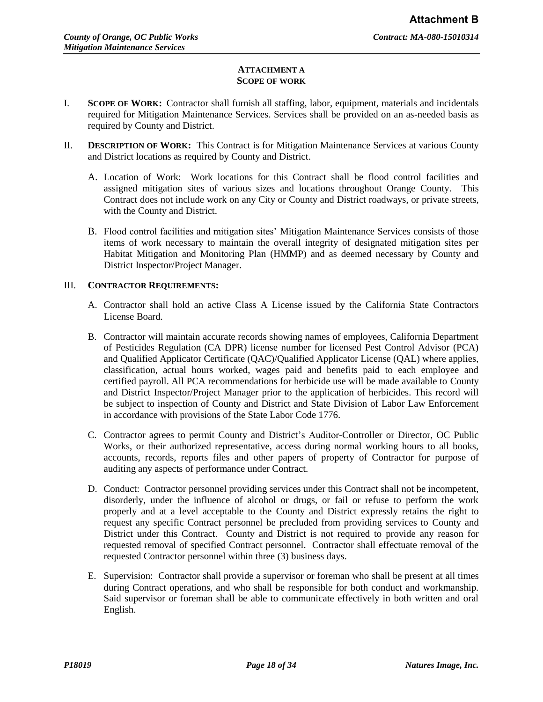### **ATTACHMENT A SCOPE OF WORK**

- I. **SCOPE OF WORK:** Contractor shall furnish all staffing, labor, equipment, materials and incidentals required for Mitigation Maintenance Services. Services shall be provided on an as-needed basis as required by County and District.
- II. **DESCRIPTION OF WORK:** This Contract is for Mitigation Maintenance Services at various County and District locations as required by County and District.
	- A. Location of Work: Work locations for this Contract shall be flood control facilities and assigned mitigation sites of various sizes and locations throughout Orange County. This Contract does not include work on any City or County and District roadways, or private streets, with the County and District.
	- B. Flood control facilities and mitigation sites' Mitigation Maintenance Services consists of those items of work necessary to maintain the overall integrity of designated mitigation sites per Habitat Mitigation and Monitoring Plan (HMMP) and as deemed necessary by County and District Inspector/Project Manager.

# III. **CONTRACTOR REQUIREMENTS:**

- A. Contractor shall hold an active Class A License issued by the California State Contractors License Board.
- B. Contractor will maintain accurate records showing names of employees, California Department of Pesticides Regulation (CA DPR) license number for licensed Pest Control Advisor (PCA) and Qualified Applicator Certificate (QAC)/Qualified Applicator License (QAL) where applies, classification, actual hours worked, wages paid and benefits paid to each employee and certified payroll. All PCA recommendations for herbicide use will be made available to County and District Inspector/Project Manager prior to the application of herbicides. This record will be subject to inspection of County and District and State Division of Labor Law Enforcement in accordance with provisions of the State Labor Code 1776.
- C. Contractor agrees to permit County and District's Auditor-Controller or Director, OC Public Works, or their authorized representative, access during normal working hours to all books, accounts, records, reports files and other papers of property of Contractor for purpose of auditing any aspects of performance under Contract.
- D. Conduct: Contractor personnel providing services under this Contract shall not be incompetent, disorderly, under the influence of alcohol or drugs, or fail or refuse to perform the work properly and at a level acceptable to the County and District expressly retains the right to request any specific Contract personnel be precluded from providing services to County and District under this Contract. County and District is not required to provide any reason for requested removal of specified Contract personnel. Contractor shall effectuate removal of the requested Contractor personnel within three (3) business days.
- E. Supervision: Contractor shall provide a supervisor or foreman who shall be present at all times during Contract operations, and who shall be responsible for both conduct and workmanship. Said supervisor or foreman shall be able to communicate effectively in both written and oral English.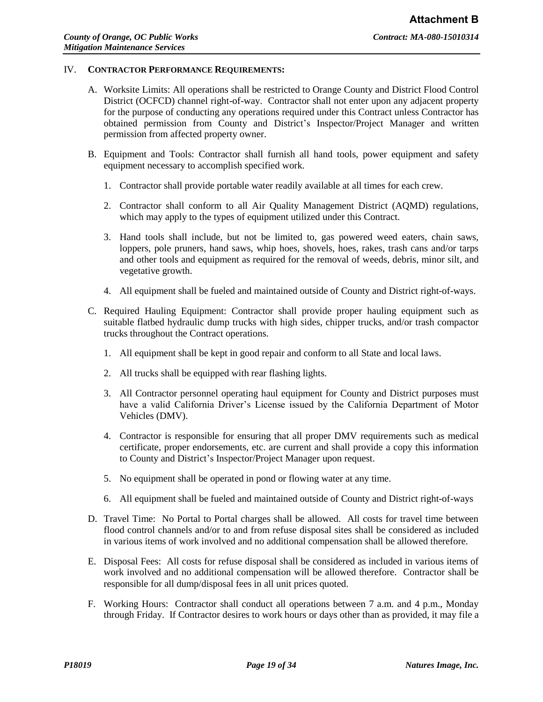### IV. **CONTRACTOR PERFORMANCE REQUIREMENTS:**

- A. Worksite Limits: All operations shall be restricted to Orange County and District Flood Control District (OCFCD) channel right-of-way. Contractor shall not enter upon any adjacent property for the purpose of conducting any operations required under this Contract unless Contractor has obtained permission from County and District's Inspector/Project Manager and written permission from affected property owner.
- B. Equipment and Tools: Contractor shall furnish all hand tools, power equipment and safety equipment necessary to accomplish specified work.
	- 1. Contractor shall provide portable water readily available at all times for each crew.
	- 2. Contractor shall conform to all Air Quality Management District (AQMD) regulations, which may apply to the types of equipment utilized under this Contract.
	- 3. Hand tools shall include, but not be limited to, gas powered weed eaters, chain saws, loppers, pole pruners, hand saws, whip hoes, shovels, hoes, rakes, trash cans and/or tarps and other tools and equipment as required for the removal of weeds, debris, minor silt, and vegetative growth.
	- 4. All equipment shall be fueled and maintained outside of County and District right-of-ways.
- C. Required Hauling Equipment: Contractor shall provide proper hauling equipment such as suitable flatbed hydraulic dump trucks with high sides, chipper trucks, and/or trash compactor trucks throughout the Contract operations.
	- 1. All equipment shall be kept in good repair and conform to all State and local laws.
	- 2. All trucks shall be equipped with rear flashing lights.
	- 3. All Contractor personnel operating haul equipment for County and District purposes must have a valid California Driver's License issued by the California Department of Motor Vehicles (DMV).
	- 4. Contractor is responsible for ensuring that all proper DMV requirements such as medical certificate, proper endorsements, etc. are current and shall provide a copy this information to County and District's Inspector/Project Manager upon request.
	- 5. No equipment shall be operated in pond or flowing water at any time.
	- 6. All equipment shall be fueled and maintained outside of County and District right-of-ways
- D. Travel Time: No Portal to Portal charges shall be allowed. All costs for travel time between flood control channels and/or to and from refuse disposal sites shall be considered as included in various items of work involved and no additional compensation shall be allowed therefore.
- E. Disposal Fees: All costs for refuse disposal shall be considered as included in various items of work involved and no additional compensation will be allowed therefore. Contractor shall be responsible for all dump/disposal fees in all unit prices quoted.
- F. Working Hours: Contractor shall conduct all operations between 7 a.m. and 4 p.m., Monday through Friday. If Contractor desires to work hours or days other than as provided, it may file a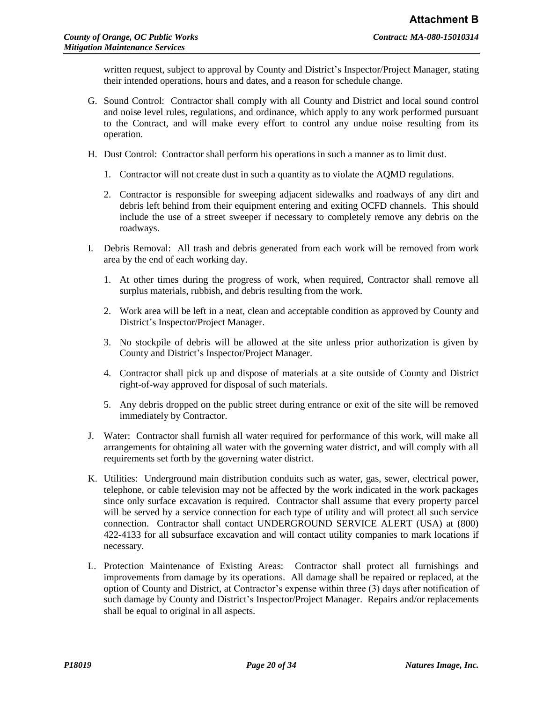written request, subject to approval by County and District's Inspector/Project Manager, stating their intended operations, hours and dates, and a reason for schedule change.

- G. Sound Control: Contractor shall comply with all County and District and local sound control and noise level rules, regulations, and ordinance, which apply to any work performed pursuant to the Contract, and will make every effort to control any undue noise resulting from its operation.
- H. Dust Control: Contractor shall perform his operations in such a manner as to limit dust.
	- 1. Contractor will not create dust in such a quantity as to violate the AQMD regulations.
	- 2. Contractor is responsible for sweeping adjacent sidewalks and roadways of any dirt and debris left behind from their equipment entering and exiting OCFD channels. This should include the use of a street sweeper if necessary to completely remove any debris on the roadways.
- I. Debris Removal: All trash and debris generated from each work will be removed from work area by the end of each working day.
	- 1. At other times during the progress of work, when required, Contractor shall remove all surplus materials, rubbish, and debris resulting from the work.
	- 2. Work area will be left in a neat, clean and acceptable condition as approved by County and District's Inspector/Project Manager.
	- 3. No stockpile of debris will be allowed at the site unless prior authorization is given by County and District's Inspector/Project Manager.
	- 4. Contractor shall pick up and dispose of materials at a site outside of County and District right-of-way approved for disposal of such materials.
	- 5. Any debris dropped on the public street during entrance or exit of the site will be removed immediately by Contractor.
- J. Water: Contractor shall furnish all water required for performance of this work, will make all arrangements for obtaining all water with the governing water district, and will comply with all requirements set forth by the governing water district.
- K. Utilities: Underground main distribution conduits such as water, gas, sewer, electrical power, telephone, or cable television may not be affected by the work indicated in the work packages since only surface excavation is required. Contractor shall assume that every property parcel will be served by a service connection for each type of utility and will protect all such service connection. Contractor shall contact UNDERGROUND SERVICE ALERT (USA) at (800) 422-4133 for all subsurface excavation and will contact utility companies to mark locations if necessary.
- L. Protection Maintenance of Existing Areas: Contractor shall protect all furnishings and improvements from damage by its operations. All damage shall be repaired or replaced, at the option of County and District, at Contractor's expense within three (3) days after notification of such damage by County and District's Inspector/Project Manager. Repairs and/or replacements shall be equal to original in all aspects.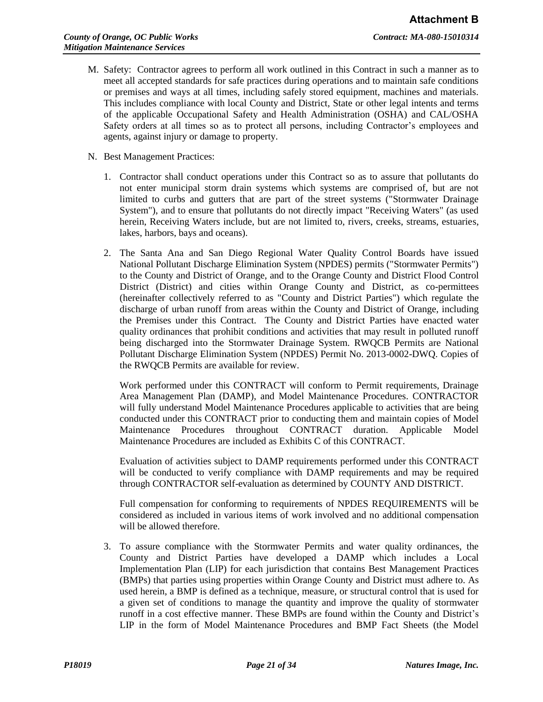- M. Safety: Contractor agrees to perform all work outlined in this Contract in such a manner as to meet all accepted standards for safe practices during operations and to maintain safe conditions or premises and ways at all times, including safely stored equipment, machines and materials. This includes compliance with local County and District, State or other legal intents and terms of the applicable Occupational Safety and Health Administration (OSHA) and CAL/OSHA Safety orders at all times so as to protect all persons, including Contractor's employees and agents, against injury or damage to property.
- N. Best Management Practices:
	- 1. Contractor shall conduct operations under this Contract so as to assure that pollutants do not enter municipal storm drain systems which systems are comprised of, but are not limited to curbs and gutters that are part of the street systems ("Stormwater Drainage System"), and to ensure that pollutants do not directly impact "Receiving Waters" (as used herein, Receiving Waters include, but are not limited to, rivers, creeks, streams, estuaries, lakes, harbors, bays and oceans).
	- 2. The Santa Ana and San Diego Regional Water Quality Control Boards have issued National Pollutant Discharge Elimination System (NPDES) permits ("Stormwater Permits") to the County and District of Orange, and to the Orange County and District Flood Control District (District) and cities within Orange County and District, as co-permittees (hereinafter collectively referred to as "County and District Parties") which regulate the discharge of urban runoff from areas within the County and District of Orange, including the Premises under this Contract. The County and District Parties have enacted water quality ordinances that prohibit conditions and activities that may result in polluted runoff being discharged into the Stormwater Drainage System. RWQCB Permits are National Pollutant Discharge Elimination System (NPDES) Permit No. 2013-0002-DWQ. Copies of the RWQCB Permits are available for review.

Work performed under this CONTRACT will conform to Permit requirements, Drainage Area Management Plan (DAMP), and Model Maintenance Procedures. CONTRACTOR will fully understand Model Maintenance Procedures applicable to activities that are being conducted under this CONTRACT prior to conducting them and maintain copies of Model Maintenance Procedures throughout CONTRACT duration. Applicable Model Maintenance Procedures are included as Exhibits C of this CONTRACT.

Evaluation of activities subject to DAMP requirements performed under this CONTRACT will be conducted to verify compliance with DAMP requirements and may be required through CONTRACTOR self-evaluation as determined by COUNTY AND DISTRICT.

Full compensation for conforming to requirements of NPDES REQUIREMENTS will be considered as included in various items of work involved and no additional compensation will be allowed therefore.

3. To assure compliance with the Stormwater Permits and water quality ordinances, the County and District Parties have developed a DAMP which includes a Local Implementation Plan (LIP) for each jurisdiction that contains Best Management Practices (BMPs) that parties using properties within Orange County and District must adhere to. As used herein, a BMP is defined as a technique, measure, or structural control that is used for a given set of conditions to manage the quantity and improve the quality of stormwater runoff in a cost effective manner. These BMPs are found within the County and District's LIP in the form of Model Maintenance Procedures and BMP Fact Sheets (the Model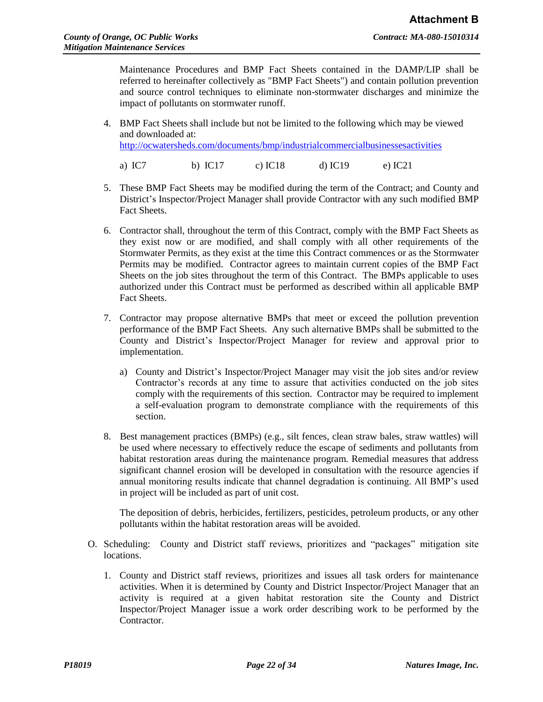Maintenance Procedures and BMP Fact Sheets contained in the DAMP/LIP shall be referred to hereinafter collectively as "BMP Fact Sheets") and contain pollution prevention and source control techniques to eliminate non-stormwater discharges and minimize the impact of pollutants on stormwater runoff.

- 4. BMP Fact Sheets shall include but not be limited to the following which may be viewed and downloaded at: <http://ocwatersheds.com/documents/bmp/industrialcommercialbusinessesactivities>
	- a) IC7 b) IC17 c) IC18 d) IC19 e) IC21
- 5. These BMP Fact Sheets may be modified during the term of the Contract; and County and District's Inspector/Project Manager shall provide Contractor with any such modified BMP Fact Sheets.
- 6. Contractor shall, throughout the term of this Contract, comply with the BMP Fact Sheets as they exist now or are modified, and shall comply with all other requirements of the Stormwater Permits, as they exist at the time this Contract commences or as the Stormwater Permits may be modified. Contractor agrees to maintain current copies of the BMP Fact Sheets on the job sites throughout the term of this Contract. The BMPs applicable to uses authorized under this Contract must be performed as described within all applicable BMP Fact Sheets.
- 7. Contractor may propose alternative BMPs that meet or exceed the pollution prevention performance of the BMP Fact Sheets. Any such alternative BMPs shall be submitted to the County and District's Inspector/Project Manager for review and approval prior to implementation.
	- a) County and District's Inspector/Project Manager may visit the job sites and/or review Contractor's records at any time to assure that activities conducted on the job sites comply with the requirements of this section. Contractor may be required to implement a self-evaluation program to demonstrate compliance with the requirements of this section.
- 8. Best management practices (BMPs) (e.g., silt fences, clean straw bales, straw wattles) will be used where necessary to effectively reduce the escape of sediments and pollutants from habitat restoration areas during the maintenance program. Remedial measures that address significant channel erosion will be developed in consultation with the resource agencies if annual monitoring results indicate that channel degradation is continuing. All BMP's used in project will be included as part of unit cost.

The deposition of debris, herbicides, fertilizers, pesticides, petroleum products, or any other pollutants within the habitat restoration areas will be avoided.

- O. Scheduling: County and District staff reviews, prioritizes and "packages" mitigation site locations.
	- 1. County and District staff reviews, prioritizes and issues all task orders for maintenance activities. When it is determined by County and District Inspector/Project Manager that an activity is required at a given habitat restoration site the County and District Inspector/Project Manager issue a work order describing work to be performed by the Contractor.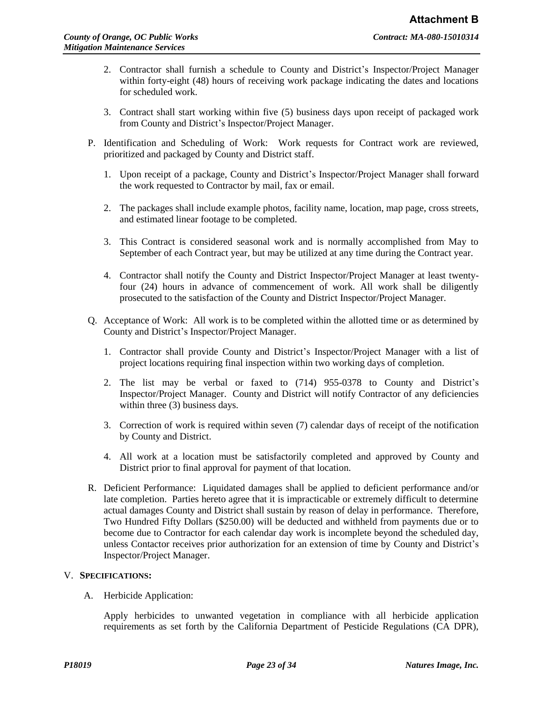- 2. Contractor shall furnish a schedule to County and District's Inspector/Project Manager within forty-eight (48) hours of receiving work package indicating the dates and locations for scheduled work.
- 3. Contract shall start working within five (5) business days upon receipt of packaged work from County and District's Inspector/Project Manager.
- P. Identification and Scheduling of Work: Work requests for Contract work are reviewed, prioritized and packaged by County and District staff.
	- 1. Upon receipt of a package, County and District's Inspector/Project Manager shall forward the work requested to Contractor by mail, fax or email.
	- 2. The packages shall include example photos, facility name, location, map page, cross streets, and estimated linear footage to be completed.
	- 3. This Contract is considered seasonal work and is normally accomplished from May to September of each Contract year, but may be utilized at any time during the Contract year.
	- 4. Contractor shall notify the County and District Inspector/Project Manager at least twentyfour (24) hours in advance of commencement of work. All work shall be diligently prosecuted to the satisfaction of the County and District Inspector/Project Manager.
- Q. Acceptance of Work: All work is to be completed within the allotted time or as determined by County and District's Inspector/Project Manager.
	- 1. Contractor shall provide County and District's Inspector/Project Manager with a list of project locations requiring final inspection within two working days of completion.
	- 2. The list may be verbal or faxed to (714) 955-0378 to County and District's Inspector/Project Manager. County and District will notify Contractor of any deficiencies within three (3) business days.
	- 3. Correction of work is required within seven (7) calendar days of receipt of the notification by County and District.
	- 4. All work at a location must be satisfactorily completed and approved by County and District prior to final approval for payment of that location.
- R. Deficient Performance: Liquidated damages shall be applied to deficient performance and/or late completion. Parties hereto agree that it is impracticable or extremely difficult to determine actual damages County and District shall sustain by reason of delay in performance. Therefore, Two Hundred Fifty Dollars (\$250.00) will be deducted and withheld from payments due or to become due to Contractor for each calendar day work is incomplete beyond the scheduled day, unless Contactor receives prior authorization for an extension of time by County and District's Inspector/Project Manager.

# V. **SPECIFICATIONS:**

A. Herbicide Application:

Apply herbicides to unwanted vegetation in compliance with all herbicide application requirements as set forth by the California Department of Pesticide Regulations (CA DPR),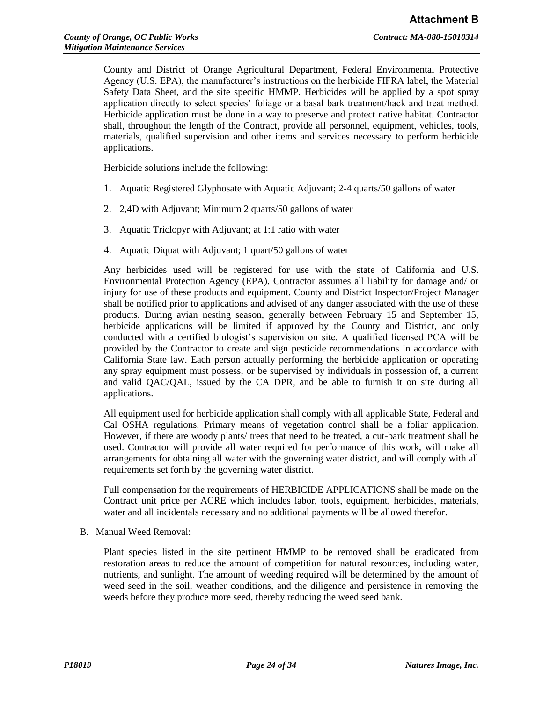County and District of Orange Agricultural Department, Federal Environmental Protective Agency (U.S. EPA), the manufacturer's instructions on the herbicide FIFRA label, the Material Safety Data Sheet, and the site specific HMMP. Herbicides will be applied by a spot spray application directly to select species' foliage or a basal bark treatment/hack and treat method. Herbicide application must be done in a way to preserve and protect native habitat. Contractor shall, throughout the length of the Contract, provide all personnel, equipment, vehicles, tools, materials, qualified supervision and other items and services necessary to perform herbicide applications.

Herbicide solutions include the following:

- 1. Aquatic Registered Glyphosate with Aquatic Adjuvant; 2-4 quarts/50 gallons of water
- 2. 2,4D with Adjuvant; Minimum 2 quarts/50 gallons of water
- 3. Aquatic Triclopyr with Adjuvant; at 1:1 ratio with water
- 4. Aquatic Diquat with Adjuvant; 1 quart/50 gallons of water

Any herbicides used will be registered for use with the state of California and U.S. Environmental Protection Agency (EPA). Contractor assumes all liability for damage and/ or injury for use of these products and equipment. County and District Inspector/Project Manager shall be notified prior to applications and advised of any danger associated with the use of these products. During avian nesting season, generally between February 15 and September 15, herbicide applications will be limited if approved by the County and District, and only conducted with a certified biologist's supervision on site. A qualified licensed PCA will be provided by the Contractor to create and sign pesticide recommendations in accordance with California State law. Each person actually performing the herbicide application or operating any spray equipment must possess, or be supervised by individuals in possession of, a current and valid QAC/QAL, issued by the CA DPR, and be able to furnish it on site during all applications.

All equipment used for herbicide application shall comply with all applicable State, Federal and Cal OSHA regulations. Primary means of vegetation control shall be a foliar application. However, if there are woody plants/ trees that need to be treated, a cut-bark treatment shall be used. Contractor will provide all water required for performance of this work, will make all arrangements for obtaining all water with the governing water district, and will comply with all requirements set forth by the governing water district.

Full compensation for the requirements of HERBICIDE APPLICATIONS shall be made on the Contract unit price per ACRE which includes labor, tools, equipment, herbicides, materials, water and all incidentals necessary and no additional payments will be allowed therefor.

B. Manual Weed Removal:

Plant species listed in the site pertinent HMMP to be removed shall be eradicated from restoration areas to reduce the amount of competition for natural resources, including water, nutrients, and sunlight. The amount of weeding required will be determined by the amount of weed seed in the soil, weather conditions, and the diligence and persistence in removing the weeds before they produce more seed, thereby reducing the weed seed bank.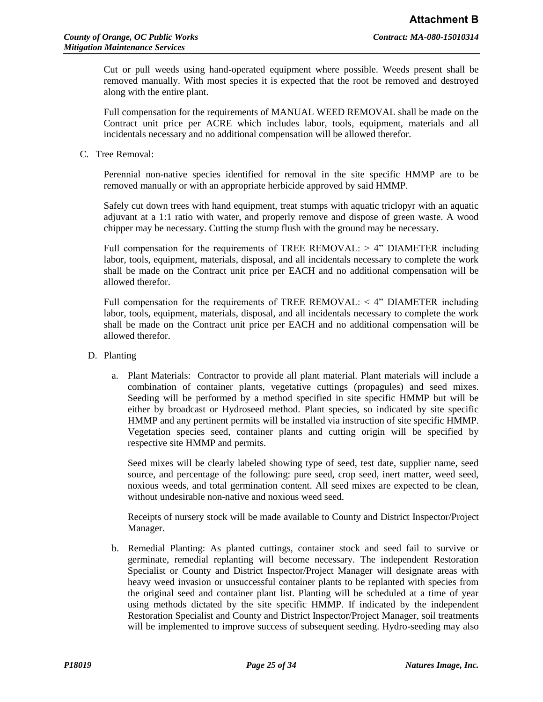Cut or pull weeds using hand-operated equipment where possible. Weeds present shall be removed manually. With most species it is expected that the root be removed and destroyed along with the entire plant.

Full compensation for the requirements of MANUAL WEED REMOVAL shall be made on the Contract unit price per ACRE which includes labor, tools, equipment, materials and all incidentals necessary and no additional compensation will be allowed therefor.

C. Tree Removal:

Perennial non-native species identified for removal in the site specific HMMP are to be removed manually or with an appropriate herbicide approved by said HMMP.

Safely cut down trees with hand equipment, treat stumps with aquatic triclopyr with an aquatic adjuvant at a 1:1 ratio with water, and properly remove and dispose of green waste. A wood chipper may be necessary. Cutting the stump flush with the ground may be necessary.

Full compensation for the requirements of TREE REMOVAL:  $> 4$ " DIAMETER including labor, tools, equipment, materials, disposal, and all incidentals necessary to complete the work shall be made on the Contract unit price per EACH and no additional compensation will be allowed therefor.

Full compensation for the requirements of TREE REMOVAL:  $\leq$  4" DIAMETER including labor, tools, equipment, materials, disposal, and all incidentals necessary to complete the work shall be made on the Contract unit price per EACH and no additional compensation will be allowed therefor.

- D. Planting
	- a. Plant Materials: Contractor to provide all plant material. Plant materials will include a combination of container plants, vegetative cuttings (propagules) and seed mixes. Seeding will be performed by a method specified in site specific HMMP but will be either by broadcast or Hydroseed method. Plant species, so indicated by site specific HMMP and any pertinent permits will be installed via instruction of site specific HMMP. Vegetation species seed, container plants and cutting origin will be specified by respective site HMMP and permits.

Seed mixes will be clearly labeled showing type of seed, test date, supplier name, seed source, and percentage of the following: pure seed, crop seed, inert matter, weed seed, noxious weeds, and total germination content. All seed mixes are expected to be clean, without undesirable non-native and noxious weed seed.

Receipts of nursery stock will be made available to County and District Inspector/Project Manager.

b. Remedial Planting: As planted cuttings, container stock and seed fail to survive or germinate, remedial replanting will become necessary. The independent Restoration Specialist or County and District Inspector/Project Manager will designate areas with heavy weed invasion or unsuccessful container plants to be replanted with species from the original seed and container plant list. Planting will be scheduled at a time of year using methods dictated by the site specific HMMP. If indicated by the independent Restoration Specialist and County and District Inspector/Project Manager, soil treatments will be implemented to improve success of subsequent seeding. Hydro-seeding may also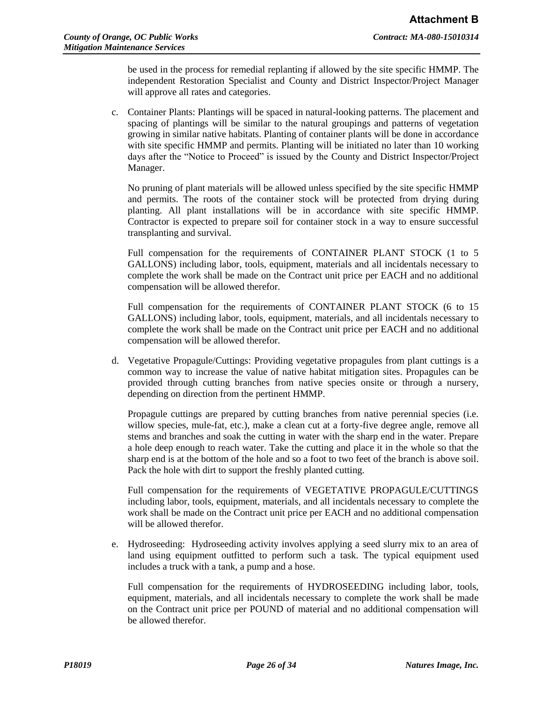be used in the process for remedial replanting if allowed by the site specific HMMP. The independent Restoration Specialist and County and District Inspector/Project Manager will approve all rates and categories.

c. Container Plants: Plantings will be spaced in natural-looking patterns. The placement and spacing of plantings will be similar to the natural groupings and patterns of vegetation growing in similar native habitats. Planting of container plants will be done in accordance with site specific HMMP and permits. Planting will be initiated no later than 10 working days after the "Notice to Proceed" is issued by the County and District Inspector/Project Manager.

No pruning of plant materials will be allowed unless specified by the site specific HMMP and permits. The roots of the container stock will be protected from drying during planting. All plant installations will be in accordance with site specific HMMP. Contractor is expected to prepare soil for container stock in a way to ensure successful transplanting and survival.

Full compensation for the requirements of CONTAINER PLANT STOCK (1 to 5 GALLONS) including labor, tools, equipment, materials and all incidentals necessary to complete the work shall be made on the Contract unit price per EACH and no additional compensation will be allowed therefor.

Full compensation for the requirements of CONTAINER PLANT STOCK (6 to 15 GALLONS) including labor, tools, equipment, materials, and all incidentals necessary to complete the work shall be made on the Contract unit price per EACH and no additional compensation will be allowed therefor.

d. Vegetative Propagule/Cuttings: Providing vegetative propagules from plant cuttings is a common way to increase the value of native habitat mitigation sites. Propagules can be provided through cutting branches from native species onsite or through a nursery, depending on direction from the pertinent HMMP.

Propagule cuttings are prepared by cutting branches from native perennial species (i.e. willow species, mule-fat, etc.), make a clean cut at a forty-five degree angle, remove all stems and branches and soak the cutting in water with the sharp end in the water. Prepare a hole deep enough to reach water. Take the cutting and place it in the whole so that the sharp end is at the bottom of the hole and so a foot to two feet of the branch is above soil. Pack the hole with dirt to support the freshly planted cutting.

Full compensation for the requirements of VEGETATIVE PROPAGULE/CUTTINGS including labor, tools, equipment, materials, and all incidentals necessary to complete the work shall be made on the Contract unit price per EACH and no additional compensation will be allowed therefor.

e. Hydroseeding: Hydroseeding activity involves applying a seed slurry mix to an area of land using equipment outfitted to perform such a task. The typical equipment used includes a truck with a tank, a pump and a hose.

Full compensation for the requirements of HYDROSEEDING including labor, tools, equipment, materials, and all incidentals necessary to complete the work shall be made on the Contract unit price per POUND of material and no additional compensation will be allowed therefor.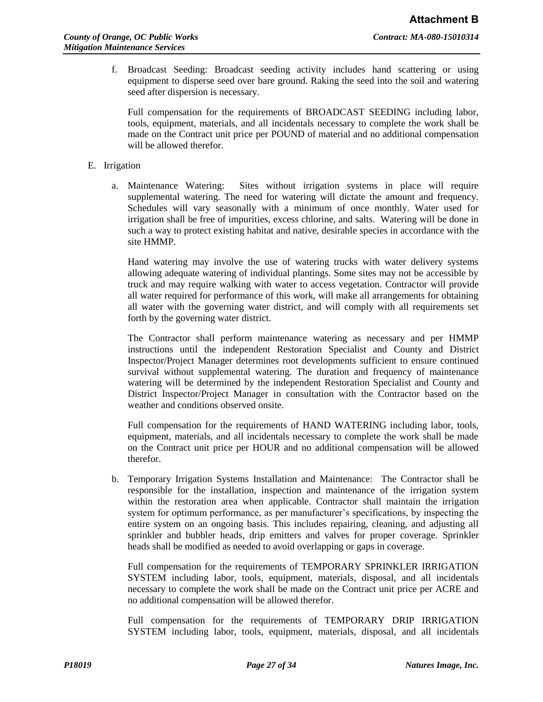f. Broadcast Seeding: Broadcast seeding activity includes hand scattering or using equipment to disperse seed over bare ground. Raking the seed into the soil and watering seed after dispersion is necessary.

Full compensation for the requirements of BROADCAST SEEDING including labor, tools, equipment, materials, and all incidentals necessary to complete the work shall be made on the Contract unit price per POUND of material and no additional compensation will be allowed therefor.

# E. Irrigation

a. Maintenance Watering: Sites without irrigation systems in place will require supplemental watering. The need for watering will dictate the amount and frequency. Schedules will vary seasonally with a minimum of once monthly. Water used for irrigation shall be free of impurities, excess chlorine, and salts. Watering will be done in such a way to protect existing habitat and native, desirable species in accordance with the site HMMP.

Hand watering may involve the use of watering trucks with water delivery systems allowing adequate watering of individual plantings. Some sites may not be accessible by truck and may require walking with water to access vegetation. Contractor will provide all water required for performance of this work, will make all arrangements for obtaining all water with the governing water district, and will comply with all requirements set forth by the governing water district.

The Contractor shall perform maintenance watering as necessary and per HMMP instructions until the independent Restoration Specialist and County and District Inspector/Project Manager determines root developments sufficient to ensure continued survival without supplemental watering. The duration and frequency of maintenance watering will be determined by the independent Restoration Specialist and County and District Inspector/Project Manager in consultation with the Contractor based on the weather and conditions observed onsite.

Full compensation for the requirements of HAND WATERING including labor, tools, equipment, materials, and all incidentals necessary to complete the work shall be made on the Contract unit price per HOUR and no additional compensation will be allowed therefor.

b. Temporary Irrigation Systems Installation and Maintenance: The Contractor shall be responsible for the installation, inspection and maintenance of the irrigation system within the restoration area when applicable. Contractor shall maintain the irrigation system for optimum performance, as per manufacturer's specifications, by inspecting the entire system on an ongoing basis. This includes repairing, cleaning, and adjusting all sprinkler and bubbler heads, drip emitters and valves for proper coverage. Sprinkler heads shall be modified as needed to avoid overlapping or gaps in coverage.

Full compensation for the requirements of TEMPORARY SPRINKLER IRRIGATION SYSTEM including labor, tools, equipment, materials, disposal, and all incidentals necessary to complete the work shall be made on the Contract unit price per ACRE and no additional compensation will be allowed therefor.

Full compensation for the requirements of TEMPORARY DRIP IRRIGATION SYSTEM including labor, tools, equipment, materials, disposal, and all incidentals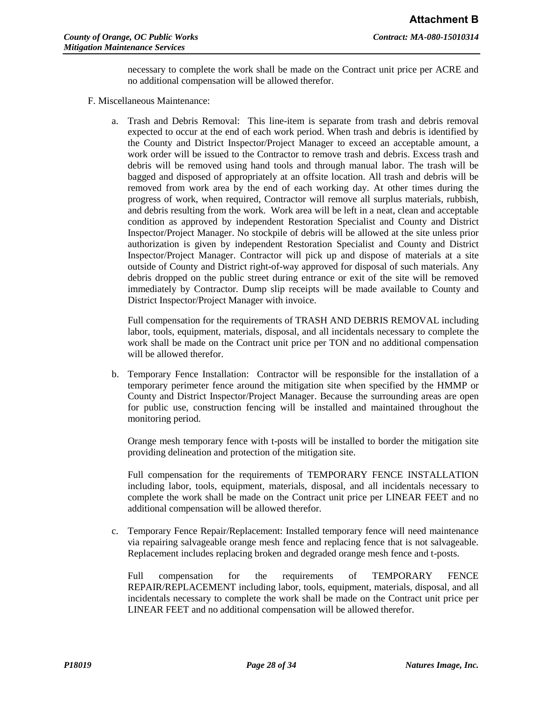necessary to complete the work shall be made on the Contract unit price per ACRE and no additional compensation will be allowed therefor.

- F. Miscellaneous Maintenance:
	- a. Trash and Debris Removal: This line-item is separate from trash and debris removal expected to occur at the end of each work period. When trash and debris is identified by the County and District Inspector/Project Manager to exceed an acceptable amount, a work order will be issued to the Contractor to remove trash and debris. Excess trash and debris will be removed using hand tools and through manual labor. The trash will be bagged and disposed of appropriately at an offsite location. All trash and debris will be removed from work area by the end of each working day. At other times during the progress of work, when required, Contractor will remove all surplus materials, rubbish, and debris resulting from the work. Work area will be left in a neat, clean and acceptable condition as approved by independent Restoration Specialist and County and District Inspector/Project Manager. No stockpile of debris will be allowed at the site unless prior authorization is given by independent Restoration Specialist and County and District Inspector/Project Manager. Contractor will pick up and dispose of materials at a site outside of County and District right-of-way approved for disposal of such materials. Any debris dropped on the public street during entrance or exit of the site will be removed immediately by Contractor. Dump slip receipts will be made available to County and District Inspector/Project Manager with invoice.

Full compensation for the requirements of TRASH AND DEBRIS REMOVAL including labor, tools, equipment, materials, disposal, and all incidentals necessary to complete the work shall be made on the Contract unit price per TON and no additional compensation will be allowed therefor.

b. Temporary Fence Installation: Contractor will be responsible for the installation of a temporary perimeter fence around the mitigation site when specified by the HMMP or County and District Inspector/Project Manager. Because the surrounding areas are open for public use, construction fencing will be installed and maintained throughout the monitoring period.

Orange mesh temporary fence with t-posts will be installed to border the mitigation site providing delineation and protection of the mitigation site.

Full compensation for the requirements of TEMPORARY FENCE INSTALLATION including labor, tools, equipment, materials, disposal, and all incidentals necessary to complete the work shall be made on the Contract unit price per LINEAR FEET and no additional compensation will be allowed therefor.

c. Temporary Fence Repair/Replacement: Installed temporary fence will need maintenance via repairing salvageable orange mesh fence and replacing fence that is not salvageable. Replacement includes replacing broken and degraded orange mesh fence and t-posts.

Full compensation for the requirements of TEMPORARY FENCE REPAIR/REPLACEMENT including labor, tools, equipment, materials, disposal, and all incidentals necessary to complete the work shall be made on the Contract unit price per LINEAR FEET and no additional compensation will be allowed therefor.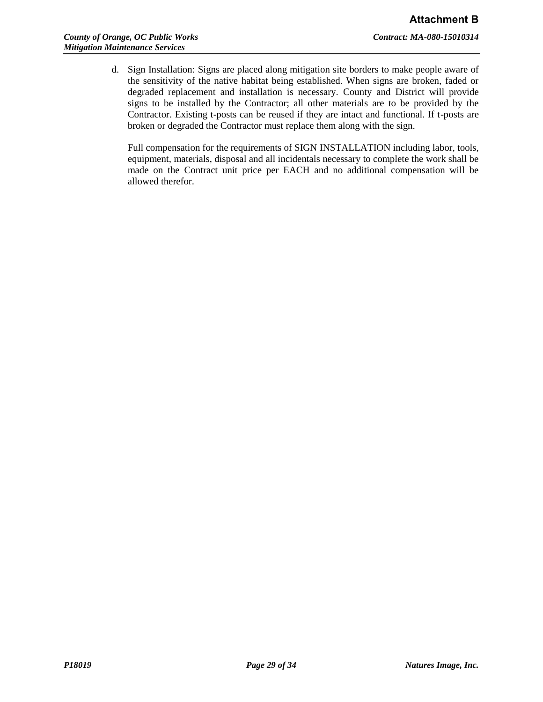d. Sign Installation: Signs are placed along mitigation site borders to make people aware of the sensitivity of the native habitat being established. When signs are broken, faded or degraded replacement and installation is necessary. County and District will provide signs to be installed by the Contractor; all other materials are to be provided by the Contractor. Existing t-posts can be reused if they are intact and functional. If t-posts are broken or degraded the Contractor must replace them along with the sign.

Full compensation for the requirements of SIGN INSTALLATION including labor, tools, equipment, materials, disposal and all incidentals necessary to complete the work shall be made on the Contract unit price per EACH and no additional compensation will be allowed therefor.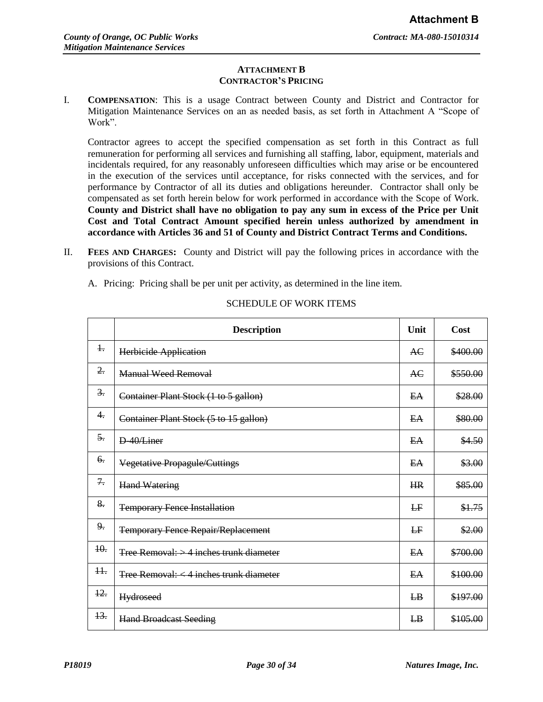## **ATTACHMENT B CONTRACTOR'S PRICING**

I. **COMPENSATION**: This is a usage Contract between County and District and Contractor for Mitigation Maintenance Services on an as needed basis, as set forth in Attachment A "Scope of Work".

Contractor agrees to accept the specified compensation as set forth in this Contract as full remuneration for performing all services and furnishing all staffing, labor, equipment, materials and incidentals required, for any reasonably unforeseen difficulties which may arise or be encountered in the execution of the services until acceptance, for risks connected with the services, and for performance by Contractor of all its duties and obligations hereunder. Contractor shall only be compensated as set forth herein below for work performed in accordance with the Scope of Work. **County and District shall have no obligation to pay any sum in excess of the Price per Unit Cost and Total Contract Amount specified herein unless authorized by amendment in accordance with Articles 36 and 51 of County and District Contract Terms and Conditions.**

- II. **FEES AND CHARGES:** County and District will pay the following prices in accordance with the provisions of this Contract.
	- A. Pricing: Pricing shall be per unit per activity, as determined in the line item.

|                  | <b>Description</b>                        | Unit           | Cost     |
|------------------|-------------------------------------------|----------------|----------|
| $\ddagger$       | Herbicide Application                     | AC             | \$400.00 |
| $\overline{2}$ . | <b>Manual Weed Removal</b>                | <b>AC</b>      | \$550.00 |
| $\frac{3}{2}$ .  | Container Plant Stock (1 to 5 gallon)     | E <sub>A</sub> | \$28.00  |
| 4.               | Container Plant Stock (5 to 15 gallon)    | EA             | \$80.00  |
| $\overline{5}$ . | D-40/Liner                                | EA             | \$4.50   |
| 6.               | Vegetative Propagule/Cuttings             | EA             | \$3.00   |
| 7.               | <b>Hand Watering</b>                      | HR             | \$85.00  |
| 8.               | <b>Temporary Fence Installation</b>       | LF             | \$1.75   |
| 9.               | <b>Temporary Fence Repair/Replacement</b> | E              | \$2.00   |
| 40.              | Tree Removal: $>$ 4 inches trunk diameter | E <sub>A</sub> | \$700.00 |
| $++$             | Tree Removal: < 4 inches trunk diameter   | EA             | \$100.00 |
| $\frac{12}{2}$   | <b>Hydroseed</b>                          | $_{LB}$        | \$197.00 |
| 13.              | <b>Hand Broadcast Seeding</b>             | $E_{\rm B}$    | \$105.00 |

## SCHEDULE OF WORK ITEMS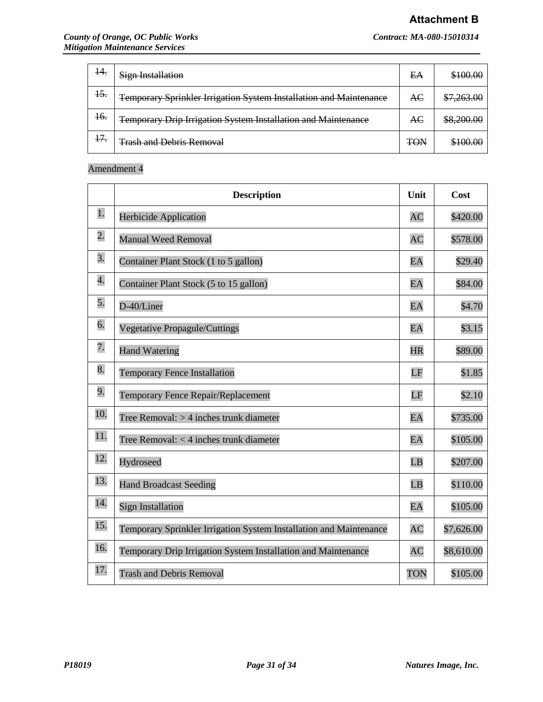# **Attachment B**

| 14.            | <b>Sign Installation</b>                                           | EA         | \$100.00   |
|----------------|--------------------------------------------------------------------|------------|------------|
| $\frac{15}{2}$ | Temporary Sprinkler Irrigation System Installation and Maintenance | AC         | \$7,263.00 |
| <del>16.</del> | Temporary Drip Irrigation System Installation and Maintenance      | AC         | \$8,200.00 |
| 17.            | <b>Trash and Debris Removal</b>                                    | <b>TON</b> | \$100.00   |

# Amendment 4

|                  | <b>Description</b>                                                 |            | Cost       |
|------------------|--------------------------------------------------------------------|------------|------------|
| 1.               | <b>Herbicide Application</b>                                       | <b>AC</b>  | \$420.00   |
| $\overline{2}$ . | <b>Manual Weed Removal</b>                                         | <b>AC</b>  | \$578.00   |
| 3.               | Container Plant Stock (1 to 5 gallon)                              | EA         | \$29.40    |
| 4.               | Container Plant Stock (5 to 15 gallon)                             | EA         | \$84.00    |
| 5.               | D-40/Liner                                                         | EA         | \$4.70     |
| 6.               | <b>Vegetative Propagule/Cuttings</b>                               | EA         | \$3.15     |
| 7.               | <b>Hand Watering</b>                                               | <b>HR</b>  | \$89.00    |
| 8.               | <b>Temporary Fence Installation</b>                                | LF         | \$1.85     |
| 9.               | Temporary Fence Repair/Replacement                                 | LF         | \$2.10     |
| 10.              | Tree Removal: $>$ 4 inches trunk diameter                          | EA         | \$735.00   |
| 11.              | Tree Removal: $<$ 4 inches trunk diameter                          | EA         | \$105.00   |
| 12.              | Hydroseed                                                          | LB         | \$207.00   |
| 13.              | <b>Hand Broadcast Seeding</b>                                      | LB         | \$110.00   |
| 14.              | <b>Sign Installation</b>                                           | EA         | \$105.00   |
| 15.              | Temporary Sprinkler Irrigation System Installation and Maintenance | <b>AC</b>  | \$7,626.00 |
| 16.              | Temporary Drip Irrigation System Installation and Maintenance      | <b>AC</b>  | \$8,610.00 |
| 17.              | <b>Trash and Debris Removal</b>                                    | <b>TON</b> | \$105.00   |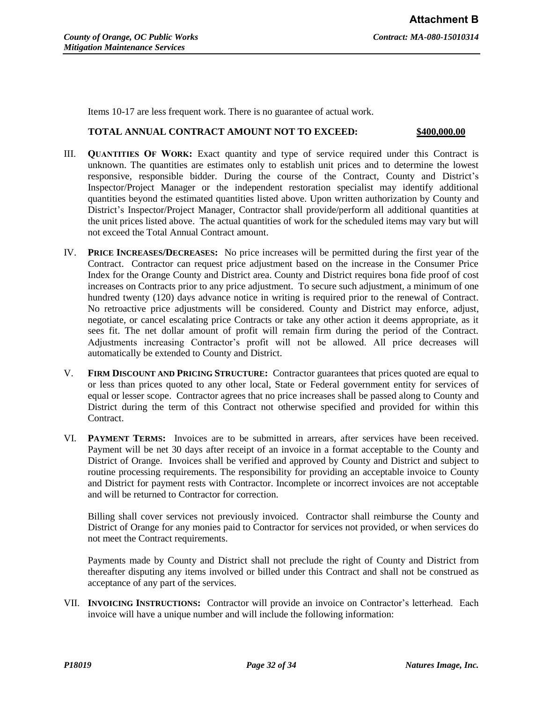Items 10-17 are less frequent work. There is no guarantee of actual work.

# **TOTAL ANNUAL CONTRACT AMOUNT NOT TO EXCEED: \$400,000.00**

- III. **QUANTITIES OF WORK:** Exact quantity and type of service required under this Contract is unknown. The quantities are estimates only to establish unit prices and to determine the lowest responsive, responsible bidder. During the course of the Contract, County and District's Inspector/Project Manager or the independent restoration specialist may identify additional quantities beyond the estimated quantities listed above. Upon written authorization by County and District's Inspector/Project Manager, Contractor shall provide/perform all additional quantities at the unit prices listed above. The actual quantities of work for the scheduled items may vary but will not exceed the Total Annual Contract amount.
- IV. **PRICE INCREASES/DECREASES:** No price increases will be permitted during the first year of the Contract. Contractor can request price adjustment based on the increase in the Consumer Price Index for the Orange County and District area. County and District requires bona fide proof of cost increases on Contracts prior to any price adjustment. To secure such adjustment, a minimum of one hundred twenty (120) days advance notice in writing is required prior to the renewal of Contract. No retroactive price adjustments will be considered. County and District may enforce, adjust, negotiate, or cancel escalating price Contracts or take any other action it deems appropriate, as it sees fit. The net dollar amount of profit will remain firm during the period of the Contract. Adjustments increasing Contractor's profit will not be allowed. All price decreases will automatically be extended to County and District.
- V. **FIRM DISCOUNT AND PRICING STRUCTURE:** Contractor guarantees that prices quoted are equal to or less than prices quoted to any other local, State or Federal government entity for services of equal or lesser scope. Contractor agrees that no price increases shall be passed along to County and District during the term of this Contract not otherwise specified and provided for within this Contract.
- VI. **PAYMENT TERMS:** Invoices are to be submitted in arrears, after services have been received. Payment will be net 30 days after receipt of an invoice in a format acceptable to the County and District of Orange. Invoices shall be verified and approved by County and District and subject to routine processing requirements. The responsibility for providing an acceptable invoice to County and District for payment rests with Contractor. Incomplete or incorrect invoices are not acceptable and will be returned to Contractor for correction.

Billing shall cover services not previously invoiced. Contractor shall reimburse the County and District of Orange for any monies paid to Contractor for services not provided, or when services do not meet the Contract requirements.

Payments made by County and District shall not preclude the right of County and District from thereafter disputing any items involved or billed under this Contract and shall not be construed as acceptance of any part of the services.

VII. **INVOICING INSTRUCTIONS:** Contractor will provide an invoice on Contractor's letterhead. Each invoice will have a unique number and will include the following information: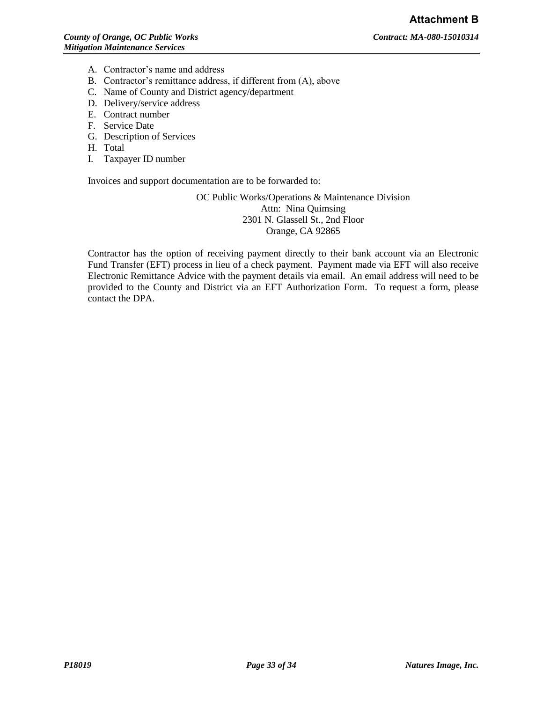- A. Contractor's name and address
- B. Contractor's remittance address, if different from (A), above
- C. Name of County and District agency/department
- D. Delivery/service address
- E. Contract number
- F. Service Date
- G. Description of Services
- H. Total
- I. Taxpayer ID number

Invoices and support documentation are to be forwarded to:

OC Public Works/Operations & Maintenance Division Attn: Nina Quimsing 2301 N. Glassell St., 2nd Floor Orange, CA 92865

Contractor has the option of receiving payment directly to their bank account via an Electronic Fund Transfer (EFT) process in lieu of a check payment. Payment made via EFT will also receive Electronic Remittance Advice with the payment details via email. An email address will need to be provided to the County and District via an EFT Authorization Form. To request a form, please contact the DPA.